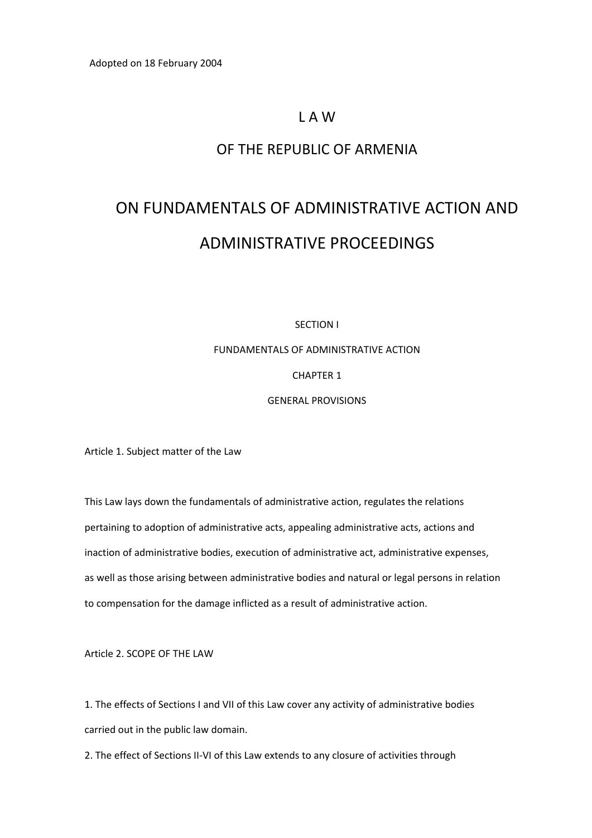Adopted on 18 February 2004

### L A W

### OF THE REPUBLIC OF ARMENIA

# ON FUNDAMENTALS OF ADMINISTRATIVE ACTION AND ADMINISTRATIVE PROCEEDINGS

SECTION I

FUNDAMENTALS OF ADMINISTRATIVE ACTION

CHAPTER 1

GENERAL PROVISIONS

Article 1. Subject matter of the Law

This Law lays down the fundamentals of administrative action, regulates the relations pertaining to adoption of administrative acts, appealing administrative acts, actions and inaction of administrative bodies, execution of administrative act, administrative expenses, as well as those arising between administrative bodies and natural or legal persons in relation to compensation for the damage inflicted as a result of administrative action.

Article 2. SCOPE OF THE LAW

1. The effects of Sections I and VII of this Law cover any activity of administrative bodies carried out in the public law domain.

2. The effect of Sections II-VI of this Law extends to any closure of activities through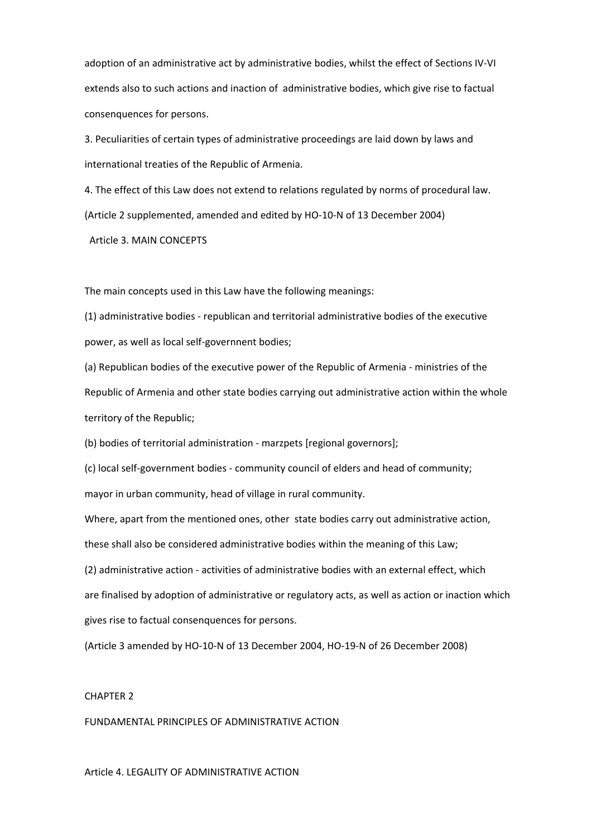adoption of an administrative act by administrative bodies, whilst the effect of Sections IV‐VI extends also to such actions and inaction of administrative bodies, which give rise to factual consenquences for persons.

3. Peculiarities of certain types of administrative proceedings are laid down by laws and international treaties of the Republic of Armenia.

4. The effect of this Law does not extend to relations regulated by norms of procedural law. (Article 2 supplemented, amended and edited by HO‐10‐N of 13 December 2004)

Article 3. MAIN CONCEPTS

The main concepts used in this Law have the following meanings:

(1) administrative bodies ‐ republican and territorial administrative bodies of the executive power, as well as local self‐governnent bodies;

(a) Republican bodies of the executive power of the Republic of Armenia ‐ ministries of the Republic of Armenia and other state bodies carrying out administrative action within the whole territory of the Republic;

(b) bodies of territorial administration ‐ marzpets [regional governors];

(c) local self‐government bodies ‐ community council of elders and head of community; mayor in urban community, head of village in rural community.

Where, apart from the mentioned ones, other state bodies carry out administrative action, these shall also be considered administrative bodies within the meaning of this Law;

(2) administrative action ‐ activities of administrative bodies with an external effect, which are finalised by adoption of administrative or regulatory acts, as well as action or inaction which gives rise to factual consenquences for persons.

(Article 3 amended by HO‐10‐N of 13 December 2004, HO‐19‐N of 26 December 2008)

#### CHAPTER 2

FUNDAMENTAL PRINCIPLES OF ADMINISTRATIVE ACTION

Article 4. LEGALITY OF ADMINISTRATIVE ACTION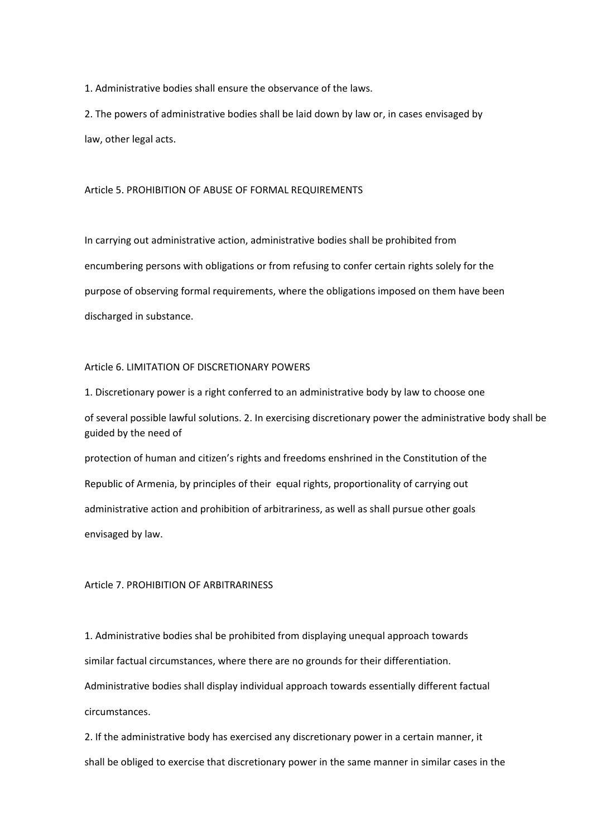1. Administrative bodies shall ensure the observance of the laws.

2. The powers of administrative bodies shall be laid down by law or, in cases envisaged by law, other legal acts.

Article 5. PROHIBITION OF ABUSE OF FORMAL REQUIREMENTS

In carrying out administrative action, administrative bodies shall be prohibited from encumbering persons with obligations or from refusing to confer certain rights solely for the purpose of observing formal requirements, where the obligations imposed on them have been discharged in substance.

#### Article 6. LIMITATION OF DISCRETIONARY POWERS

1. Discretionary power is a right conferred to an administrative body by law to choose one of several possible lawful solutions. 2. In exercising discretionary power the administrative body shall be guided by the need of protection of human and citizen's rights and freedoms enshrined in the Constitution of the Republic of Armenia, by principles of their equal rights, proportionality of carrying out

administrative action and prohibition of arbitrariness, as well as shall pursue other goals envisaged by law.

#### Article 7. PROHIBITION OF ARBITRARINESS

1. Administrative bodies shal be prohibited from displaying unequal approach towards similar factual circumstances, where there are no grounds for their differentiation. Administrative bodies shall display individual approach towards essentially different factual circumstances.

2. If the administrative body has exercised any discretionary power in a certain manner, it shall be obliged to exercise that discretionary power in the same manner in similar cases in the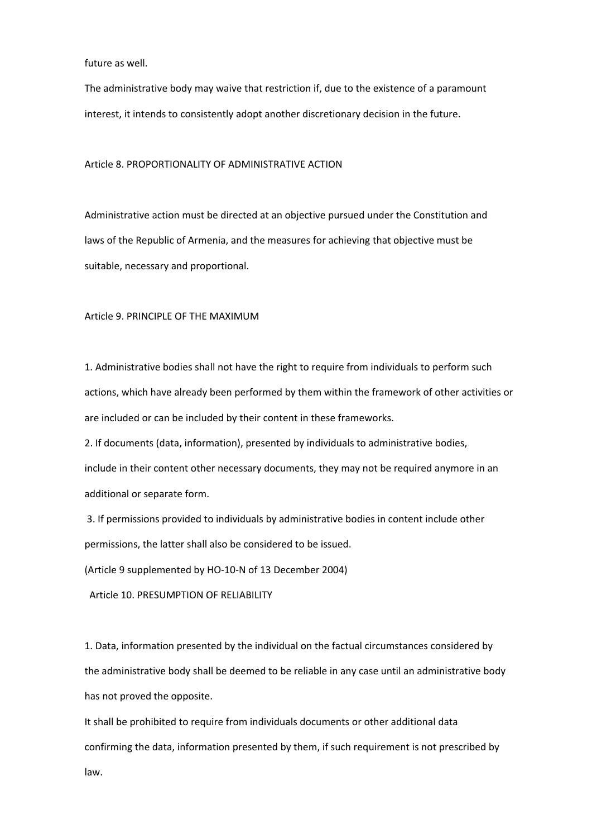future as well.

The administrative body may waive that restriction if, due to the existence of a paramount interest, it intends to consistently adopt another discretionary decision in the future.

#### Article 8. PROPORTIONALITY OF ADMINISTRATIVE ACTION

Administrative action must be directed at an objective pursued under the Constitution and laws of the Republic of Armenia, and the measures for achieving that objective must be suitable, necessary and proportional.

#### Article 9. PRINCIPLE OF THE MAXIMUM

1. Administrative bodies shall not have the right to require from individuals to perform such actions, which have already been performed by them within the framework of other activities or are included or can be included by their content in these frameworks.

2. If documents (data, information), presented by individuals to administrative bodies, include in their content other necessary documents, they may not be required anymore in an additional or separate form.

3. If permissions provided to individuals by administrative bodies in content include other permissions, the latter shall also be considered to be issued.

(Article 9 supplemented by HO‐10‐N of 13 December 2004)

Article 10. PRESUMPTION OF RELIABILITY

1. Data, information presented by the individual on the factual circumstances considered by the administrative body shall be deemed to be reliable in any case until an administrative body has not proved the opposite.

It shall be prohibited to require from individuals documents or other additional data confirming the data, information presented by them, if such requirement is not prescribed by law.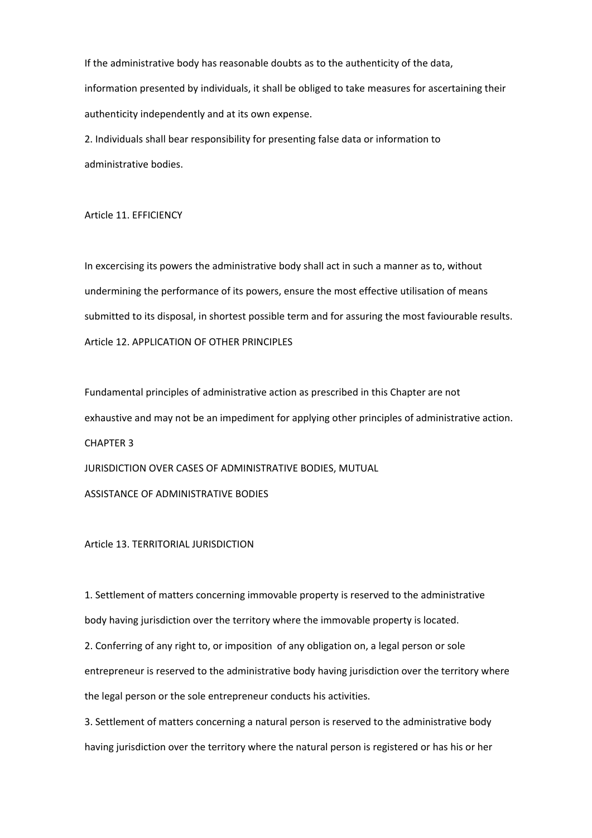If the administrative body has reasonable doubts as to the authenticity of the data, information presented by individuals, it shall be obliged to take measures for ascertaining their authenticity independently and at its own expense.

2. Individuals shall bear responsibility for presenting false data or information to administrative bodies.

Article 11. EFFICIENCY

In excercising its powers the administrative body shall act in such a manner as to, without undermining the performance of its powers, ensure the most effective utilisation of means submitted to its disposal, in shortest possible term and for assuring the most faviourable results. Article 12. APPLICATION OF OTHER PRINCIPLES

Fundamental principles of administrative action as prescribed in this Chapter are not exhaustive and may not be an impediment for applying other principles of administrative action. CHAPTER 3 JURISDICTION OVER CASES OF ADMINISTRATIVE BODIES, MUTUAL ASSISTANCE OF ADMINISTRATIVE BODIES

Article 13. TERRITORIAL JURISDICTION

1. Settlement of matters concerning immovable property is reserved to the administrative body having jurisdiction over the territory where the immovable property is located.

2. Conferring of any right to, or imposition of any obligation on, a legal person or sole entrepreneur is reserved to the administrative body having jurisdiction over the territory where the legal person or the sole entrepreneur conducts his activities.

3. Settlement of matters concerning a natural person is reserved to the administrative body having jurisdiction over the territory where the natural person is registered or has his or her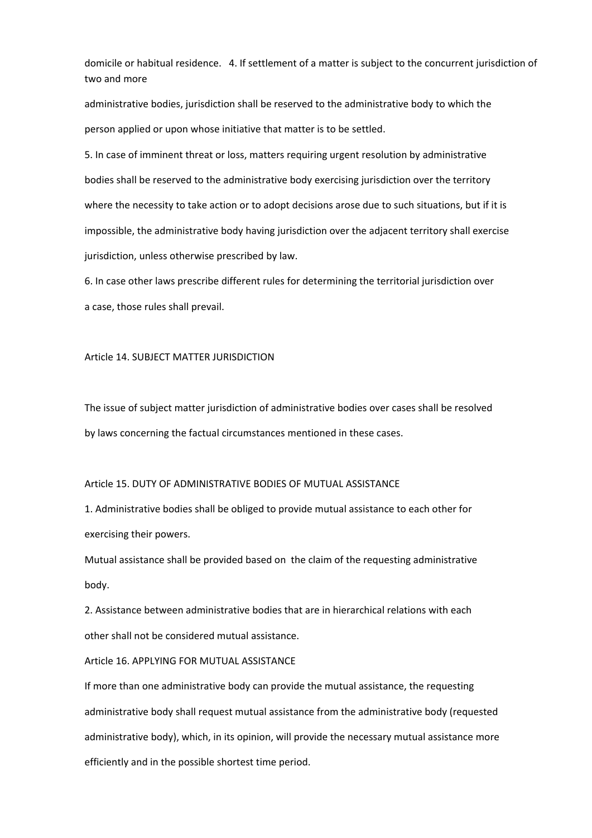domicile or habitual residence. 4. If settlement of a matter is subject to the concurrent jurisdiction of two and more

administrative bodies, jurisdiction shall be reserved to the administrative body to which the person applied or upon whose initiative that matter is to be sеttled.

5. In case of imminent threat or loss, matters requiring urgent resolution by administrative bodies shall be reserved to the administrative body exercising jurisdiction over the territory where the necessity to take action or to adopt decisions arose due to such situations, but if it is impossible, the administrative body having jurisdiction over the adjacent territory shall exercise jurisdiction, unless otherwise prescribed by law.

6. In case other laws prescribe different rules for determining the territorial jurisdiction over a case, those rules shall prevail.

#### Article 14. SUBJECT MATTER JURISDICTION

The issue of subject matter jurisdiction of administrative bodies over cases shall be resolved by laws concerning the factual circumstances mentioned in these cases.

#### Article 15. DUTY OF ADMINISTRATIVE BODIES OF MUTUAL ASSISTANCE

1. Administrative bodies shall be obliged to provide mutual assistance to each other for exercising their powers.

Mutual assistance shall be provided based on the claim of the requesting administrative body.

2. Assistance between administrative bodies that are in hierarchical relations with each other shall not be considered mutual assistance.

Article 16. APPLYING FOR MUTUAL ASSISTANCE

If more than one administrative body can provide the mutual assistance, the requesting administrative body shall request mutual assistance from the administrative body (requested administrative body), which, in its opinion, will provide the necessary mutual assistance more efficiently and in the possible shortest time period.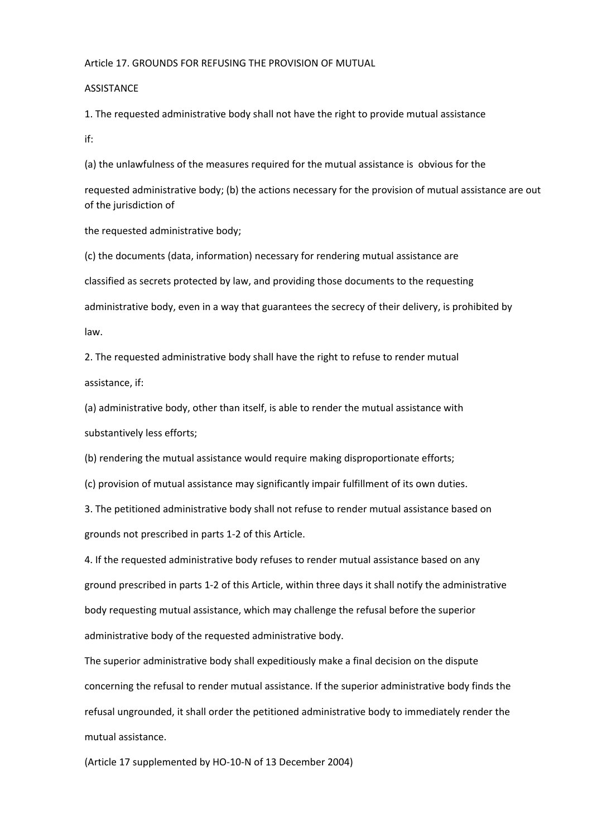#### Article 17. GROUNDS FOR REFUSING THE PROVISION OF MUTUAL

#### **ASSISTANCE**

1. The requested administrative body shall not have the right to provide mutual assistance if:

(a) the unlawfulness of the measures required for the mutual assistance is obvious for the

requested administrative body; (b) the actions necessary for the provision of mutual assistance are out of the jurisdiction of

the requested administrative body;

(c) the documents (data, information) necessary for rendering mutual assistance are classified as secrets protected by law, and providing those documents to the requesting administrative body, even in a way that guarantees the secrecy of their delivery, is prohibited by law.

2. The requested administrative body shall have the right to refuse to render mutual assistance, if:

(a) administrative body, other than itself, is able to render the mutual assistance with substantively less efforts;

(b) rendering the mutual assistance would require making disproportionate efforts;

(c) provision of mutual assistance may significantly impair fulfillment of its own duties.

3. The petitioned administrative body shall not refuse to render mutual assistance based on grounds not prescribed in parts 1‐2 of this Article.

4. If the requested administrative body refuses to render mutual assistance based on any ground prescribed in parts 1‐2 of this Article, within three days it shall notify the administrative body requesting mutual assistance, which may challenge the refusal before the superior administrative body of the requested administrative body.

The superior administrative body shall expeditiously make a final decision on the dispute concerning the refusal to render mutual assistance. If the superior administrative body finds the refusal ungrounded, it shall order the petitioned administrative body to immediately render the mutual assistance.

(Article 17 supplemented by HO‐10‐N of 13 December 2004)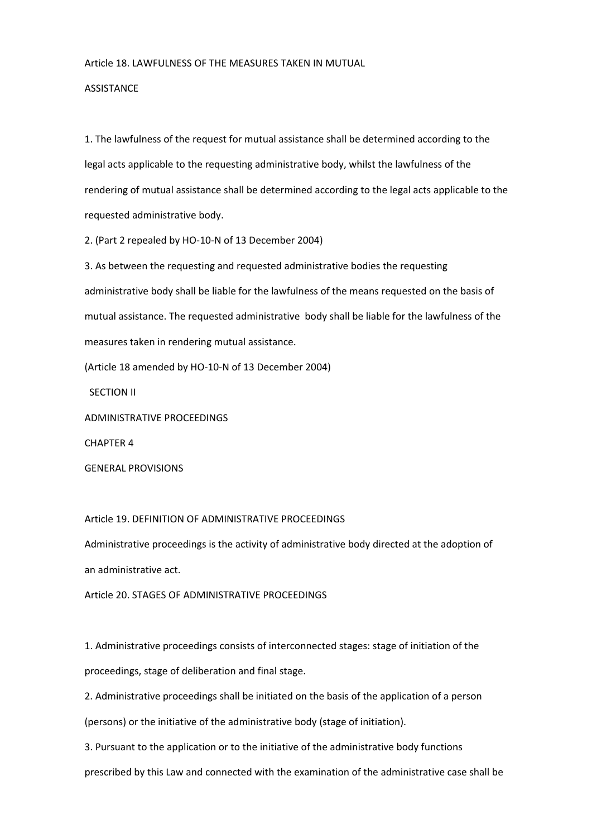#### Article 18. LAWFULNESS OF THE MEASURES TAKEN IN MUTUAL

#### **ASSISTANCE**

1. The lawfulness of the request for mutual assistance shall be determined according to the legal acts applicable to the requesting administrative body, whilst the lawfulness of the rendering of mutual assistance shall be determined according to the legal acts applicable to the requested administrative body.

2. (Part 2 repealed by HO‐10‐N of 13 December 2004)

3. As between the requesting and requested administrative bodies the requesting administrative body shall be liable for the lawfulness of the means requested on the basis of mutual assistance. The requested administrative body shall be liable for the lawfulness of the measures taken in rendering mutual assistance.

(Article 18 amended by HO‐10‐N of 13 December 2004)

SECTION II

ADMINISTRATIVE PROCEEDINGS

CHAPTER 4

GENERAL PROVISIONS

Article 19. DEFINITION OF ADMINISTRATIVE PROCEEDINGS

Administrative proceedings is the activity of administrative body directed at the adoption of an administrative act.

Article 20. STAGES OF ADMINISTRATIVE PROCEEDINGS

1. Administrative proceedings consists of interconnected stages: stage of initiation of the proceedings, stage of deliberation and final stage.

2. Administrative proceedings shall be initiated on the basis of the application of a person (persons) or the initiative of the administrative body (stage of initiation).

3. Pursuant to the application or to the initiative of the administrative body functions prescribed by this Law and connected with the examination of the administrative case shall be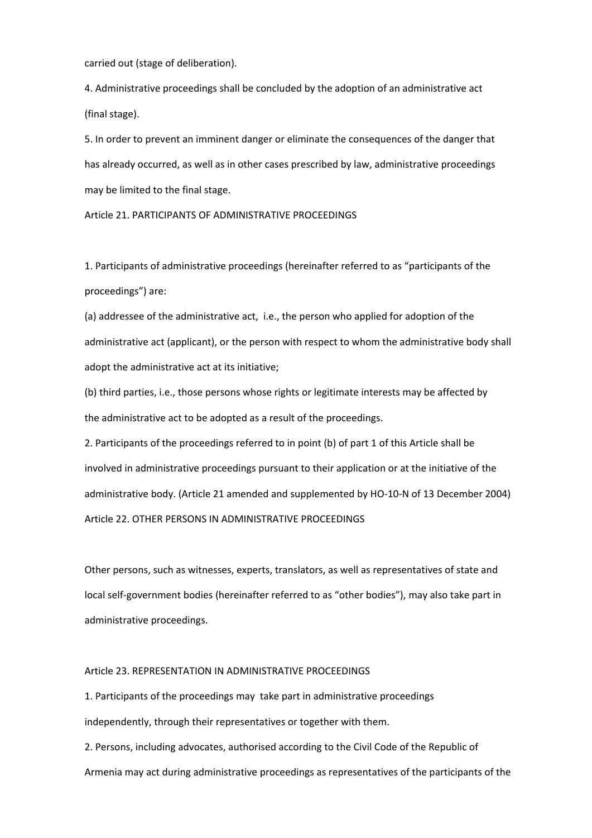carried out (stage of deliberation).

4. Administrative proceedings shall be concluded by the adoption of an administrative act (final stage).

5. In order to prevent an imminent danger or eliminate the consequences of the danger that has already occurred, as well as in other cases prescribed by law, administrative proceedings may be limited to the final stage.

Article 21. PARTICIPANTS OF ADMINISTRATIVE PROCEEDINGS

1. Participants of administrative proceedings (hereinafter referred to as "participants of the proceedings") are:

(a) addressee of the administrative act, i.e., the person who applied for adoption of the administrative act (applicant), or the person with respect to whom the administrative body shall adopt the administrative act at its initiative;

(b) third parties, i.e., those persons whose rights or legitimate interests may be affected by the administrative act to be adopted as a result of the proceedings.

2. Participants of the proceedings referred to in point (b) of part 1 of this Article shall be involved in administrative proceedings pursuant to their application or at the initiative of the administrative body. (Article 21 amended and supplemented by HO‐10‐N of 13 December 2004) Article 22. OTHER PERSONS IN ADMINISTRATIVE PROCEEDINGS

Other persons, such as witnesses, experts, translators, as well as representatives of state and local self‐government bodies (hereinafter referred to as "other bodies"), may also take part in administrative proceedings.

#### Article 23. REPRESENTATION IN ADMINISTRATIVE PROCEEDINGS

1. Participants of the proceedings may take part in administrative proceedings independently, through their representatives or together with them.

2. Persons, including advocates, authorised according to the Civil Code of the Republic of Armenia may act during administrative proceedings as representatives of the participants of the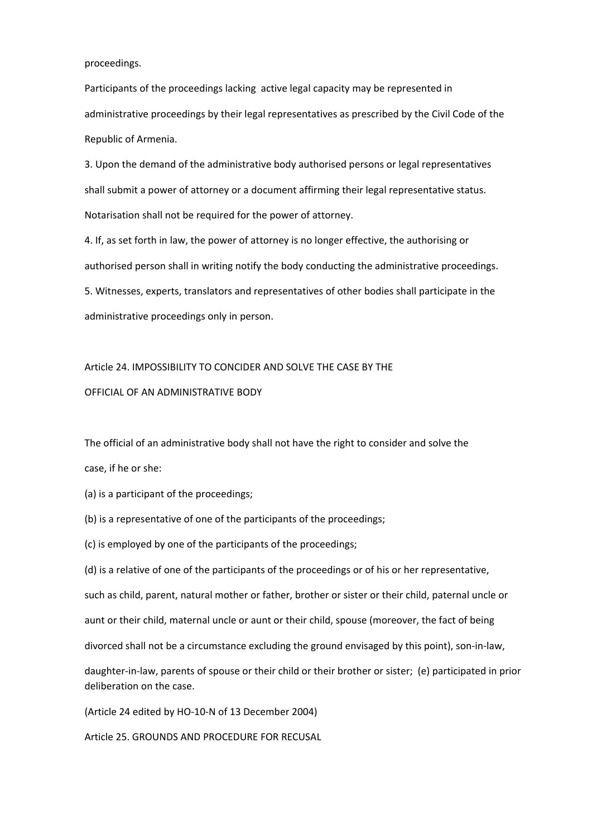proceedings.

Participants of the proceedings lacking active legal capacity may be represented in administrative proceedings by their legal representatives as prescribed by the Civil Code of the Republic of Armenia.

3. Upon the demand of the administrative body authorised persons or legal representatives shall submit a power of attorney or a document affirming their legal representative status. Notarisation shall not be required for the power of attorney.

4. If, as set forth in law, the power of attorney is no longer effective, the authorising or authorised person shall in writing notify the body conducting the administrative proceedings. 5. Witnesses, experts, translators and representatives of other bodies shall participate in the administrative proceedings only in person.

# Article 24. IMPOSSIBILITY TO CONCIDER AND SOLVE THE CASE BY THE

#### OFFICIAL OF AN ADMINISTRATIVE BODY

The official of an administrative body shall not have the right to consider and solve the

case, if he or she:

- (a) is a participant of the proceedings;
- (b) is a representative of one of the participants of the proceedings;
- (c) is employed by one of the participants of the proceedings;
- (d) is a relative of one of the participants of the proceedings or of his or her representative,

such as child, parent, natural mother or father, brother or sister or their child, paternal uncle or

aunt or their child, maternal uncle or aunt or their child, spouse (moreover, the fact of being

divorced shall not be a circumstance excluding the ground envisaged by this point), son‐in‐law,

daughter‐in‐law, parents of spouse or their child or their brother or sister; (e) participated in prior deliberation on the case.

(Article 24 edited by HO‐10‐N of 13 December 2004)

Article 25. GROUNDS AND PROCEDURE FOR RECUSAL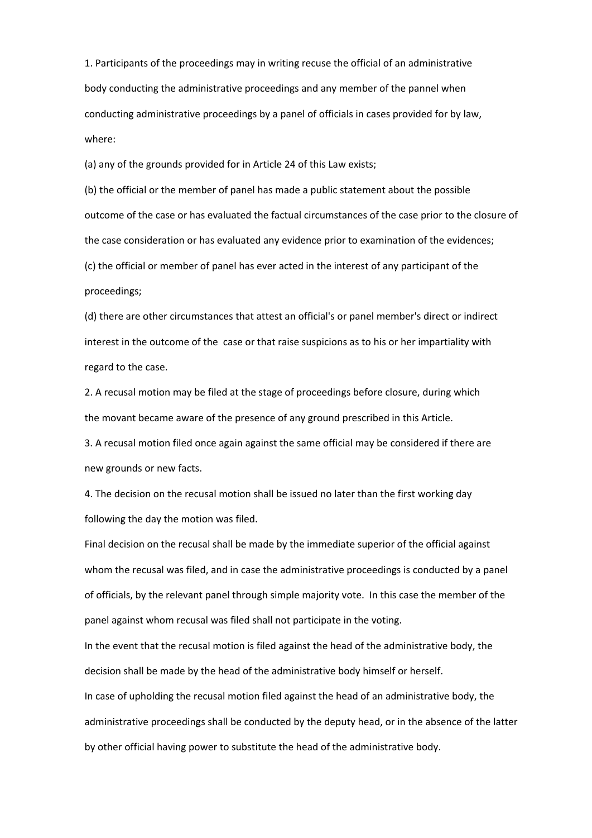1. Participants of the proceedings may in writing recuse the official of an administrative body conducting the administrative proceedings and any member of the pannel when conducting administrative proceedings by a panel of officials in cases provided for by law, where:

(a) any of the grounds provided for in Article 24 of this Law exists;

(b) the official or the member of panel has made a public statement about the possible outcome of the case or has evaluated the factual circumstances of the case prior to the closure of the case consideration or has evaluated any evidence prior to examination of the evidences; (c) the official or member of panel has ever acted in the interest of any participant of the proceedings;

(d) there are other circumstances that attest an official's or panel member's direct or indirect interest in the outcome of the case or that raise suspicions as to his or her impartiality with regard to the case.

2. A recusal motion may be filed at the stage of proceedings before closure, during which the movant became aware of the presence of any ground prescribed in this Article.

3. A recusal motion filed once again against the same official may be considered if there are new grounds or new facts.

4. The decision on the recusal motion shall be issued no later than the first working day following the day the motion was filed.

Final decision on the recusal shall be made by the immediate superior of the official against whom the recusal was filed, and in case the administrative proceedings is conducted by a panel of officials, by the relevant panel through simple majority vote. In this case the member of the panel against whom recusal was filed shall not participate in the voting.

In the event that the recusal motion is filed against the head of the administrative body, the decision shall be made by the head of the administrative body himself or herself.

In case of upholding the recusal motion filed against the head of an administrative body, the administrative proceedings shall be conducted by the deputy head, or in the absence of the latter by other official having power to substitute the head of the administrative body.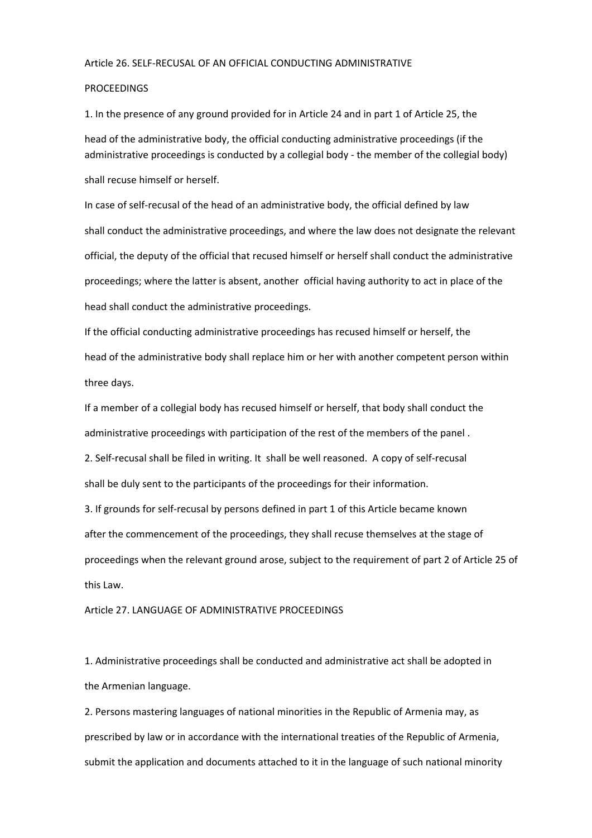#### Article 26. SELF‐RECUSAL OF AN OFFICIAL CONDUCTING ADMINISTRATIVE

#### **PROCEEDINGS**

1. In the presence of any ground provided for in Article 24 and in part 1 of Article 25, the head of the administrative body, the official conducting administrative proceedings (if the administrative proceedings is conducted by a collegial body ‐ the member of the collegial body) shall recuse himself or herself.

In case of self-recusal of the head of an administrative body, the official defined by law shall conduct the administrative proceedings, and where the law does not designate the relevant official, the deputy of the official that recused himself or herself shall conduct the administrative proceedings; where the latter is absent, another official having authority to act in place of the head shall conduct the administrative proceedings.

If the official conducting administrative proceedings has recused himself or herself, the head of the administrative body shall replace him or her with another competent person within three days.

If a member of a collegial body has recused himself or herself, that body shall conduct the administrative proceedings with participation of the rest of the members of the panel .

2. Self‐recusal shall be filed in writing. It shall be well reasoned. A copy of self‐recusal shall be duly sent to the participants of the proceedings for their information.

3. If grounds for self‐recusal by persons defined in part 1 of this Article became known after the commencement of the proceedings, they shall recuse themselves at the stage of proceedings when the relevant ground arose, subject to the requirement of part 2 of Article 25 of this Law.

#### Article 27. LANGUAGE OF ADMINISTRATIVE PROCEEDINGS

1. Administrative proceedings shall be conducted and administrative act shall be adopted in the Armenian language.

2. Persons mastering languages of national minorities in the Republic of Armenia may, as prescribed by law or in accordance with the international treaties of the Republic of Armenia, submit the application and documents attached to it in the language of such national minority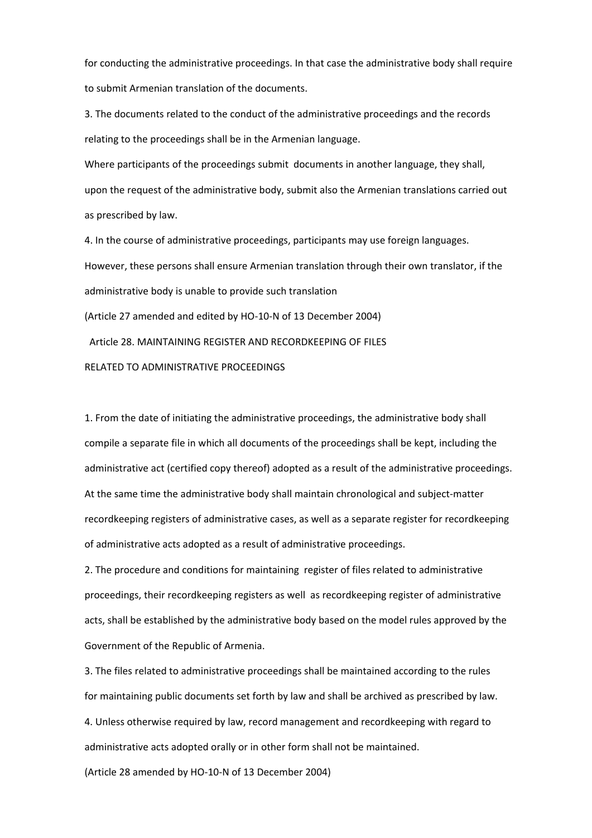for conducting the administrative proceedings. In that case the administrative body shall require to submit Armenian translation of the documents.

3. The documents related to the conduct of the administrative proceedings and the records relating to the proceedings shall be in the Armenian language.

Where participants of the proceedings submit documents in another language, they shall, upon the request of the administrative body, submit also the Armenian translations carried out as prescribed by law.

4. In the course of administrative proceedings, participants may use foreign languages. However, these persons shall ensure Armenian translation through their own translator, if the administrative body is unable to provide such translation (Article 27 amended and edited by HO‐10‐N of 13 December 2004)

Article 28. MAINTAINING REGISTER AND RECORDKEEPING OF FILES

RELATED TO ADMINISTRATIVE PROCEEDINGS

1. From the date of initiating the administrative proceedings, the administrative body shall compile a separate file in which all documents of the proceedings shall be kept, including the administrative act (certified copy thereof) adopted as a result of the administrative proceedings. At the same time the administrative body shall maintain chronological and subject-matter recordkeeping registers of administrative cases, as well as a separate register for recordkeeping of administrative acts adopted as a result of administrative proceedings.

2. The procedure and conditions for maintaining register of files related to administrative proceedings, their recordkeeping registers as well as recordkeeping register of administrative acts, shall be established by the administrative body based on the model rules approved by the Government of the Republic of Armenia.

3. The files related to administrative proceedings shall be maintained according to the rules for maintaining public documents set forth by law and shall be archived as prescribed by law. 4. Unless otherwise required by law, record management and recordkeeping with regard to administrative acts adopted orally or in other form shall not be maintained.

(Article 28 amended by HO‐10‐N of 13 December 2004)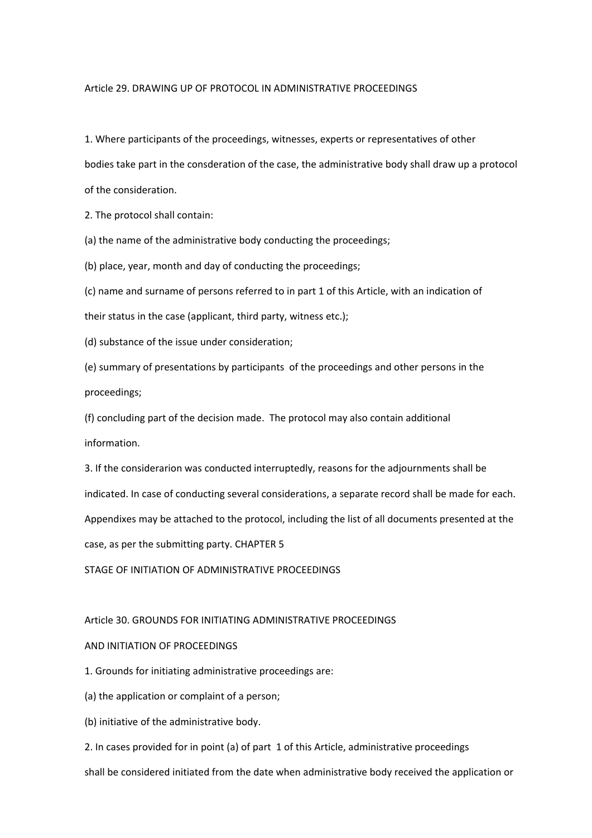#### Article 29. DRAWING UP OF PROTOCOL IN ADMINISTRATIVE PROCEEDINGS

1. Where participants of the proceedings, witnesses, experts or representatives of other

bodies take part in the consderation of the case, the administrative body shall draw up a protocol of the consideration.

2. The protocol shall contain:

(a) the name of the administrative body conducting the proceedings;

(b) place, year, month and day of conducting the proceedings;

(c) name and surname of persons referred to in part 1 of this Article, with an indication of

their status in the case (applicant, third party, witness etc.);

(d) substance of the issue under consideration;

(e) summary of presentations by participants of the proceedings and other persons in the proceedings;

(f) concluding part of the decision made. The protocol may also contain additional information.

3. If the considerarion was conducted interruptedly, reasons for the adjournments shall be indicated. In case of conducting several considerations, a separate record shall be made for each. Appendixes may be attached to the protocol, including the list of all documents presented at the case, as per the submitting party. CHAPTER 5

STAGE OF INITIATION OF ADMINISTRATIVE PROCEEDINGS

#### Article 30. GROUNDS FOR INITIATING ADMINISTRATIVE PROCEEDINGS

#### AND INITIATION OF PROCEEDINGS

1. Grounds for initiating administrative proceedings are:

(a) the application or complaint of a person;

(b) initiative of the administrative body.

2. In cases provided for in point (a) of part 1 of this Article, administrative proceedings

shall be considered initiated from the date when administrative body received the application or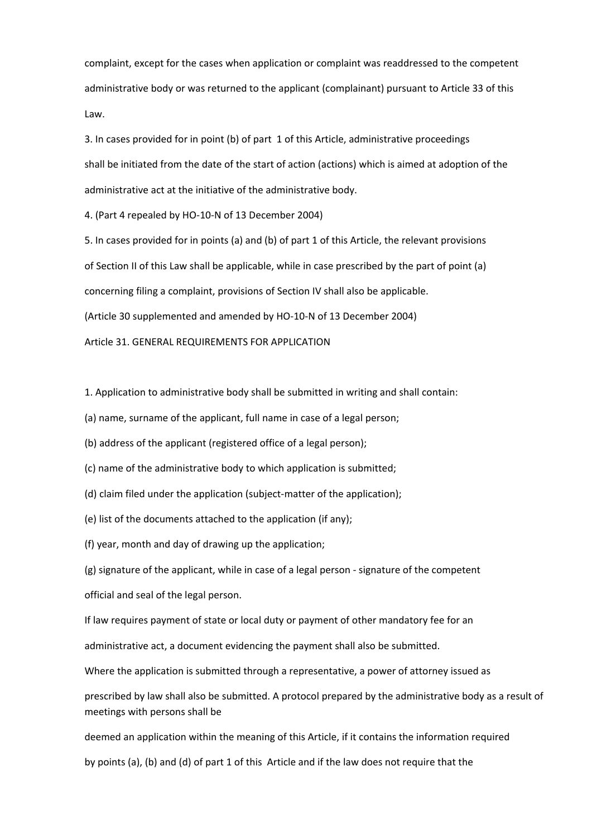complaint, except for the cases when application or complaint was readdressed to the competent administrative body or was returned to the applicant (complainant) pursuant to Article 33 of this Law.

3. In cases provided for in point (b) of part 1 of this Article, administrative proceedings shall be initiated from the date of the start of action (actions) which is aimed at adoption of the administrative act at the initiative of the administrative body.

4. (Part 4 repealed by HO‐10‐N of 13 December 2004)

5. In cases provided for in points (a) and (b) of part 1 of this Article, the relevant provisions of Section II of this Law shall be applicable, while in case prescribed by the part of point (a) concerning filing a complaint, provisions of Section IV shall also be applicable. (Article 30 supplemented and amended by HO‐10‐N of 13 December 2004)

Article 31. GENERAL REQUIREMENTS FOR APPLICATION

1. Application to administrative body shall be submitted in writing and shall contain:

(a) name, surname of the applicant, full name in case of a legal person;

(b) address of the applicant (registered office of a legal person);

(c) name of the administrative body to which application is submitted;

(d) claim filed under the application (subject-matter of the application);

(e) list of the documents attached to the application (if any);

(f) year, month and day of drawing up the application;

(g) signature of the applicant, while in case of a legal person ‐ signature of the competent

official and seal of the legal person.

If law requires payment of state or local duty or payment of other mandatory fee for an

administrative act, a document evidencing the payment shall also be submitted.

Where the application is submitted through a representative, a power of attorney issued as

prescribed by law shall also be submitted. A protocol prepared by the administrative body as a result of meetings with persons shall be

deemed an application within the meaning of this Article, if it contains the information required

by points (a), (b) and (d) of part 1 of this Article and if the law does not require that the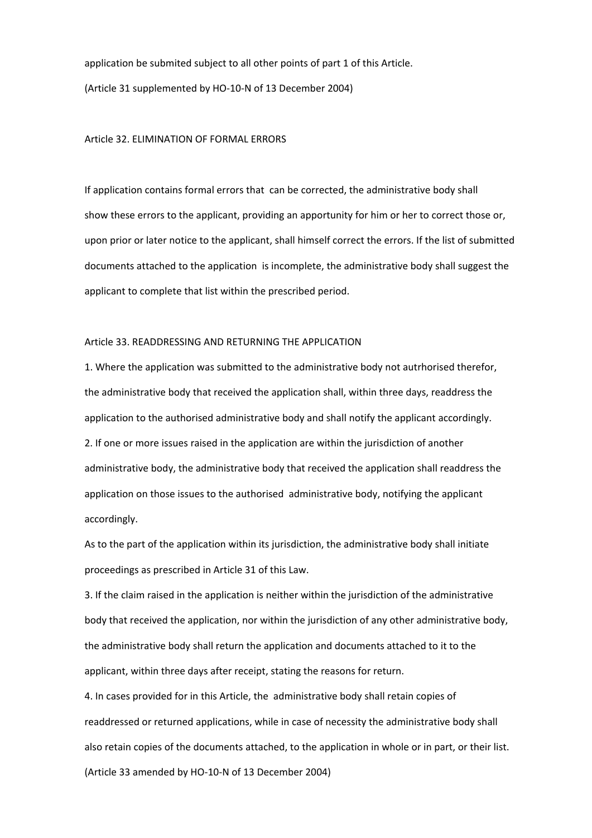application be submited subject to all other points of part 1 of this Article. (Article 31 supplemented by HO‐10‐N of 13 December 2004)

#### Article 32. ELIMINATION OF FORMAL ERRORS

If application contains formal errors that can be corrected, the administrative body shall show these errors to the applicant, providing an apportunity for him or her to correct those or, upon prior or later notice to the applicant, shall himself correct the errors. If the list of submitted documents attached to the application is incomplete, the administrative body shall suggest the applicant to complete that list within the prescribed period.

#### Article 33. READDRESSING AND RETURNING THE APPLICATION

1. Where the application was submitted to the administrative body not autrhorised therefor, the administrative body that received the application shall, within three days, readdress the application to the authorised administrative body and shall notify the applicant accordingly. 2. If one or more issues raised in the application are within the jurisdiction of another administrative body, the administrative body that received the application shall readdress the application on those issues to the authorised administrative body, notifying the applicant accordingly.

As to the part of the application within its jurisdiction, the administrative body shall initiate proceedings as prescribed in Article 31 of this Law.

3. If the claim raised in the application is neither within the jurisdiction of the administrative body that received the application, nor within the jurisdiction of any other administrative body, the administrative body shall return the application and documents attached to it to the applicant, within three days after receipt, stating the reasons for return.

4. In cases provided for in this Article, the administrative body shall retain copies of readdressed or returned applications, while in case of necessity the administrative body shall also retain copies of the documents attached, to the application in whole or in part, or their list. (Article 33 amended by HO‐10‐N of 13 December 2004)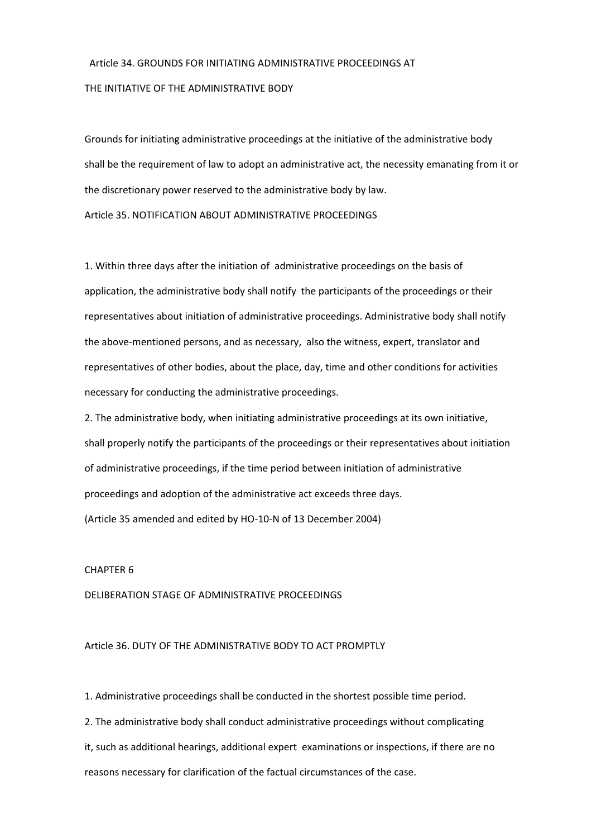## Article 34. GROUNDS FOR INITIATING ADMINISTRATIVE PROCEEDINGS AT THE INITIATIVE OF THE ADMINISTRATIVE BODY

Grounds for initiating administrative proceedings at the initiative of the administrative body shall be the requirement of law to adopt an administrative act, the necessity emanating from it or the discretionary power reserved to the administrative body by law. Article 35. NOTIFICATION ABOUT ADMINISTRATIVE PROCEEDINGS

1. Within three days after the initiation of administrative proceedings on the basis of application, the administrative body shall notify the participants of the proceedings or their representatives about initiation of administrative proceedings. Administrative body shall notify the above‐mentioned persons, and as necessary, also the witness, expert, translator and representatives of other bodies, about the place, day, time and other conditions for activities necessary for conducting the administrative proceedings.

2. The administrative body, when initiating administrative proceedings at its own initiative, shall properly notify the participants of the proceedings or their representatives about initiation of administrative proceedings, if the time period between initiation of administrative proceedings and adoption of the administrative act exceeds three days. (Article 35 amended and edited by HO‐10‐N of 13 December 2004)

#### CHAPTER 6

#### DELIBERATION STAGE OF ADMINISTRATIVE PROCEEDINGS

#### Article 36. DUTY OF THE ADMINISTRATIVE BODY TO ACT PROMPTLY

1. Administrative proceedings shall be conducted in the shortest possible time period.

2. The administrative body shall conduct administrative proceedings without complicating it, such as additional hearings, additional expert examinations or inspections, if there are no reasons necessary for clarification of the factual circumstances of the case.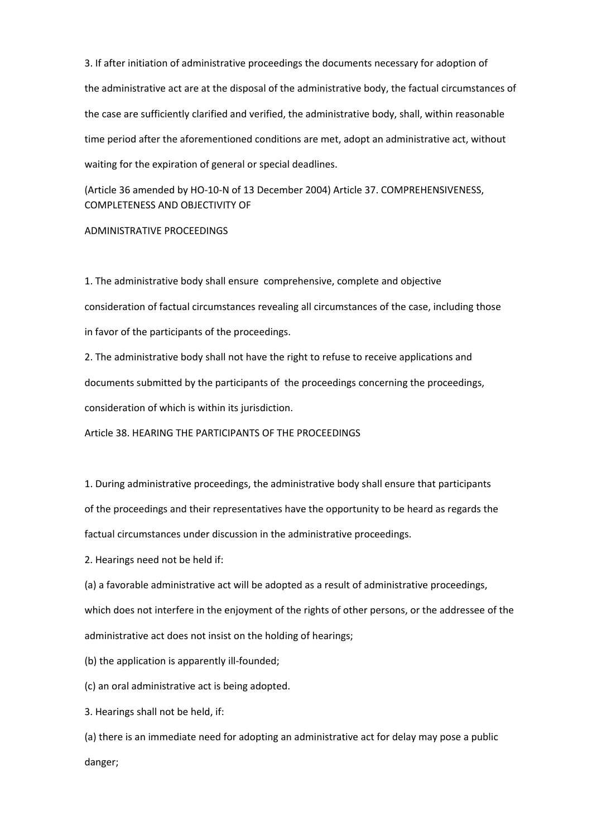3. If after initiation of administrative proceedings the documents necessary for adoption of the administrative act are at the disposal of the administrative body, the factual circumstances of the case are sufficiently clarified and verified, the administrative body, shall, within reasonable time period after the aforementioned conditions are met, adopt an administrative act, without waiting for the expiration of general or special deadlines.

(Article 36 amended by HO‐10‐N of 13 December 2004) Article 37. COMPREHENSIVENESS, COMPLETENESS AND OBJECTIVITY OF

#### ADMINISTRATIVE PROCEEDINGS

1. The administrative body shall ensure comprehensive, complete and objective consideration of factual circumstances revealing all circumstances of the case, including those in favor of the participants of the proceedings.

2. The administrative body shall not have the right to refuse to receive applications and documents submitted by the participants of the proceedings concerning the proceedings, consideration of which is within its jurisdiction.

Article 38. HEARING THE PARTICIPANTS OF THE PROCEEDINGS

1. During administrative proceedings, the administrative body shall ensure that participants of the proceedings and their representatives have the opportunity to be heard as regards the factual circumstances under discussion in the administrative proceedings.

2. Hearings need not be held if:

(a) a favorable administrative act will be adopted as a result of administrative proceedings, which does not interfere in the enjoyment of the rights of other persons, or the addressee of the administrative act does not insist on the holding of hearings;

(b) the application is apparently ill-founded;

(c) an oral administrative act is being adopted.

3. Hearings shall not be held, if:

(a) there is an immediate need for adopting an administrative act for delay may pose a public danger;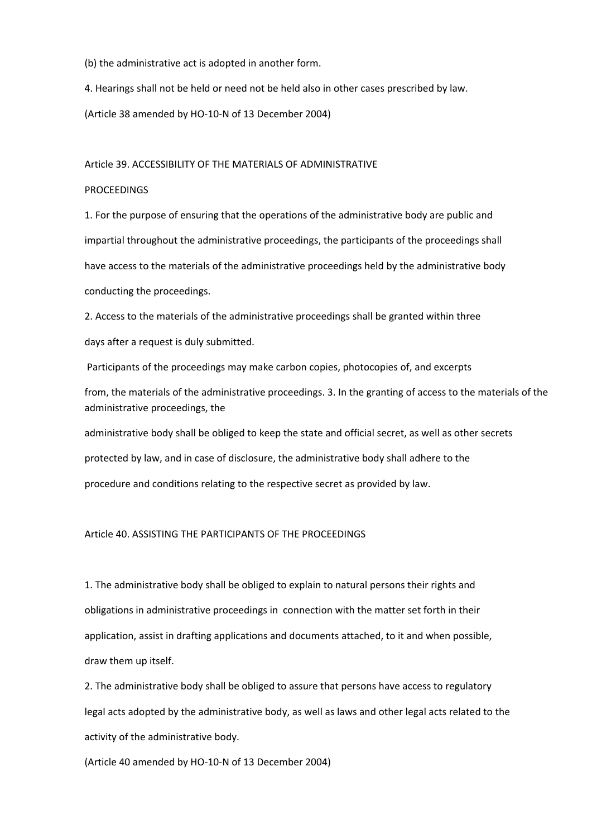(b) the administrative act is adopted in another form.

4. Hearings shall not be held or need not be held also in other cases prescribed by law.

(Article 38 amended by HO‐10‐N of 13 December 2004)

#### Article 39. ACCESSIBILITY OF THE MATERIALS OF ADMINISTRATIVE

#### PROCEEDINGS

1. For the purpose of ensuring that the operations of the administrative body are public and impartial throughout the administrative proceedings, the participants of the proceedings shall have access to the materials of the administrative proceedings held by the administrative body conducting the proceedings.

2. Access to the materials of the administrative proceedings shall be granted within three days after a request is duly submitted.

Participants of the proceedings may make carbon copies, photocopies of, and excerpts

from, the materials of the administrative proceedings. 3. In the granting of access to the materials of the administrative proceedings, the

administrative body shall be obliged to keep the state and official secret, as well as other secrets

protected by law, and in case of disclosure, the administrative body shall adhere to the

procedure and conditions relating to the respective secret as provided by law.

#### Article 40. ASSISTING THE PARTICIPANTS OF THE PROCEEDINGS

1. The administrative body shall be obliged to explain to natural persons their rights and obligations in administrative proceedings in connection with the matter set forth in their application, assist in drafting applications and documents attached, to it and when possible, draw them up itself.

2. The administrative body shall be obliged to assure that persons have access to regulatory legal acts adopted by the administrative body, as well as laws and other legal acts related to the activity of the administrative body.

(Article 40 amended by HO‐10‐N of 13 December 2004)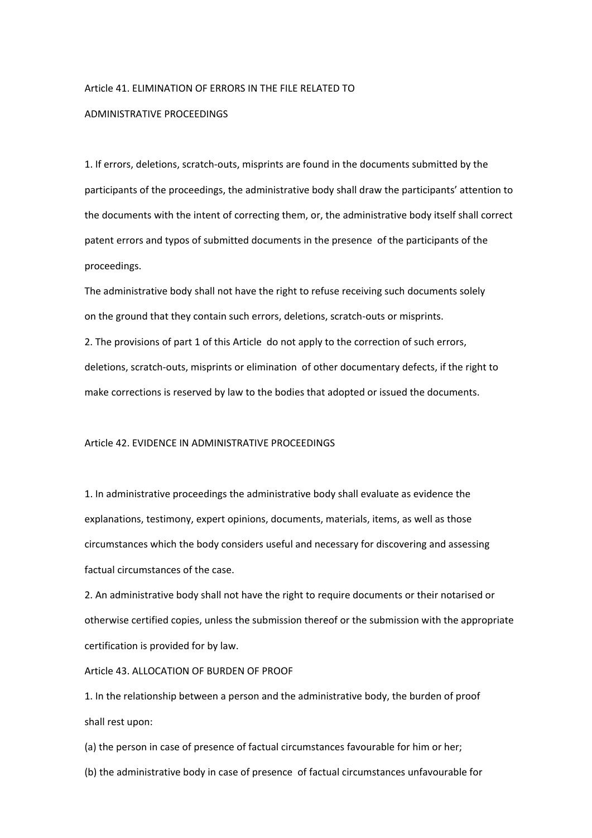#### Article 41. ELIMINATION OF ERRORS IN THE FILE RELATED TO

#### ADMINISTRATIVE PROCEEDINGS

1. If errors, deletions, scratch‐outs, misprints are found in the documents submitted by the participants of the proceedings, the administrative body shall draw the participants' attention to the documents with the intent of correcting them, or, the administrative body itself shall correct patent errors and typos of submitted documents in the presence of the participants of the proceedings.

The administrative body shall not have the right to refuse receiving such documents solely on the ground that they contain such errors, deletions, scratch‐outs or misprints.

2. The provisions of part 1 of this Article do not apply to the correction of such errors, deletions, scratch‐outs, misprints or elimination of other documentary defects, if the right to make corrections is reserved by law to the bodies that adopted or issued the documents.

#### Article 42. EVIDENCE IN ADMINISTRATIVE PROCEEDINGS

1. In administrative proceedings the administrative body shall evaluate as evidence the explanations, testimony, expert opinions, documents, materials, items, as well as those circumstances which the body considers useful and necessary for discovering and assessing factual circumstances of the case.

2. An administrative body shall not have the right to require documents or their notarised or otherwise certified copies, unless the submission thereof or the submission with the appropriate certification is provided for by law.

#### Article 43. ALLOCATION OF BURDEN OF PROOF

1. In the relationship between a person and the administrative body, the burden of proof shall rest upon:

(a) the person in case of presence of factual circumstances favourable for him or her;

(b) the administrative body in case of presence of factual circumstances unfavourable for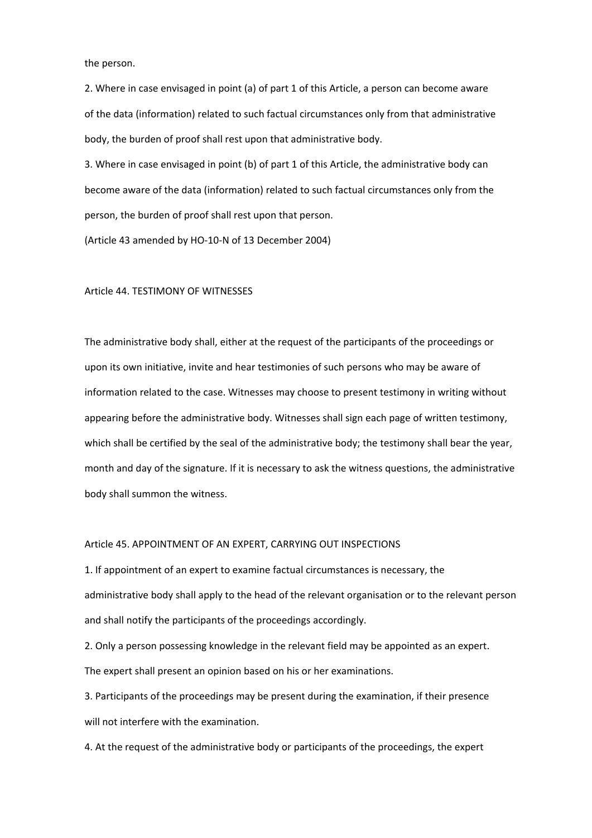the person.

2. Where in case envisaged in point (a) of part 1 of this Article, a person can become aware of the data (information) related to such factual circumstances only from that administrative body, the burden of proof shall rest upon that administrative body.

3. Where in case envisaged in point (b) of part 1 of this Article, the administrative body can become aware of the data (information) related to such factual circumstances only from the person, the burden of proof shall rest upon that person.

(Article 43 amended by HO‐10‐N of 13 December 2004)

#### Article 44. TESTIMONY OF WITNESSES

The administrative body shall, either at the request of the participants of the proceedings or upon its own initiative, invite and hear testimonies of such persons who may be aware of information related to the case. Witnesses may choose to present testimony in writing without appearing before the administrative body. Witnesses shall sign each page of written testimony, which shall be certified by the seal of the administrative body; the testimony shall bear the year, month and day of the signature. If it is necessary to ask the witness questions, the administrative body shall summon the witness.

#### Article 45. APPOINTMENT OF AN EXPERT, CARRYING OUT INSPECTIONS

1. If appointment of an expert to examine factual circumstances is necessary, the administrative body shall apply to the head of the relevant organisation or to the relevant person and shall notify the participants of the proceedings accordingly.

2. Only a person possessing knowledge in the relevant field may be appointed as an expert. The expert shall present an opinion based on his or her examinations.

3. Participants of the proceedings may be present during the examination, if their presence will not interfere with the examination.

4. At the request of the administrative body or participants of the proceedings, the expert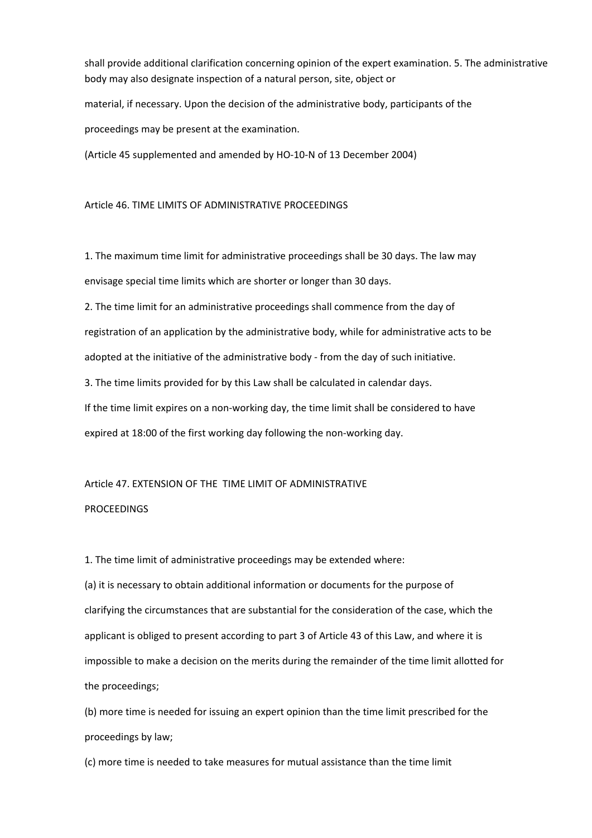shall provide additional clarification concerning opinion of the expert examination. 5. The administrative body may also designate inspection of a natural person, site, object or

material, if necessary. Upon the decision of the administrative body, participants of the proceedings may be present at the examination.

(Article 45 supplemented and amended by HO‐10‐N of 13 December 2004)

Article 46. TIME LIMITS OF ADMINISTRATIVE PROCEEDINGS

1. The maximum time limit for administrative proceedings shall be 30 days. The law may envisage special time limits which are shorter or longer than 30 days.

2. The time limit for an administrative proceedings shall commence from the day of registration of an application by the administrative body, while for administrative acts to be adopted at the initiative of the administrative body ‐ from the day of such initiative.

3. The time limits provided for by this Law shall be calculated in calendar days.

If the time limit expires on a non-working day, the time limit shall be considered to have expired at 18:00 of the first working day following the non-working day.

Article 47. EXTENSION OF THE TIME LIMIT OF ADMINISTRATIVE **PROCEEDINGS** 

1. The time limit of administrative proceedings may be extended where:

(a) it is necessary to obtain additional information or documents for the purpose of clarifying the circumstances that are substantial for the consideration of the case, which the applicant is obliged to present according to part 3 of Article 43 of this Law, and where it is impossible to make a decision on the merits during the remainder of the time limit allotted for the proceedings;

(b) more time is needed for issuing an expert opinion than the time limit prescribed for the proceedings by law;

(c) more time is needed to take measures for mutual assistance than the time limit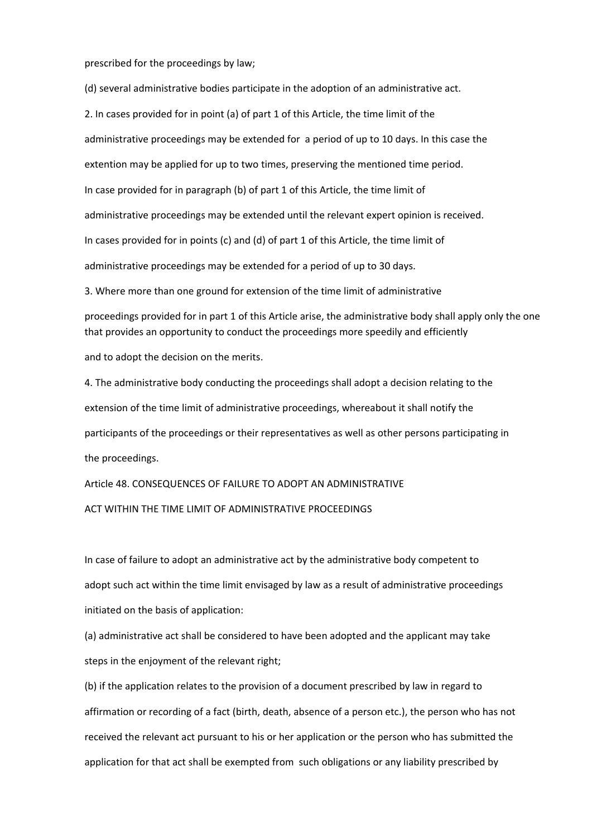prescribed for the proceedings by law;

(d) several administrative bodies participate in the adoption of an administrative act.

2. In cases provided for in point (a) of part 1 of this Article, the time limit of the administrative proceedings may be extended for a period of up to 10 days. In this case the extention may be applied for up to two times, preserving the mеntioned time period. In case provided for in paragraph (b) of part 1 of this Article, the time limit of administrative proceedings may be extended until the relevant expert opinion is received. In cases provided for in points (c) and (d) of part 1 of this Article, the time limit of administrative proceedings may be extended for a period of up to 30 days.

3. Where more than one ground for extension of the time limit of administrative

proceedings provided for in part 1 of this Article arise, the administrative body shall apply only the one that provides an opportunity to conduct the proceedings more speedily and efficiently

and to adopt the decision on the merits.

4. The administrative body conducting the proceedings shall adopt a decision relating to the extension of the time limit of administrative proceedings, whereabout it shall notify the participants of the proceedings or their representatives as well as other persons participating in the proceedings.

Article 48. CONSEQUENCES OF FAILURE TO ADOPT AN ADMINISTRATIVE ACT WITHIN THE TIME LIMIT OF ADMINISTRATIVE PROCEEDINGS

In case of failure to adopt an administrative act by the administrative body competent to adopt such act within the time limit envisaged by law as a result of administrative proceedings initiated on the basis of application:

(a) administrative act shall be considered to have been adopted and the applicant may take steps in the enjoyment of the relevant right;

(b) if the application relates to the provision of a document prescribed by law in regard to affirmation or recording of a fact (birth, death, absence of a person etc.), the person who has not received the relevant act pursuant to his or her application or the person who has submitted the application for that act shall be exempted from such obligations or any liability prescribed by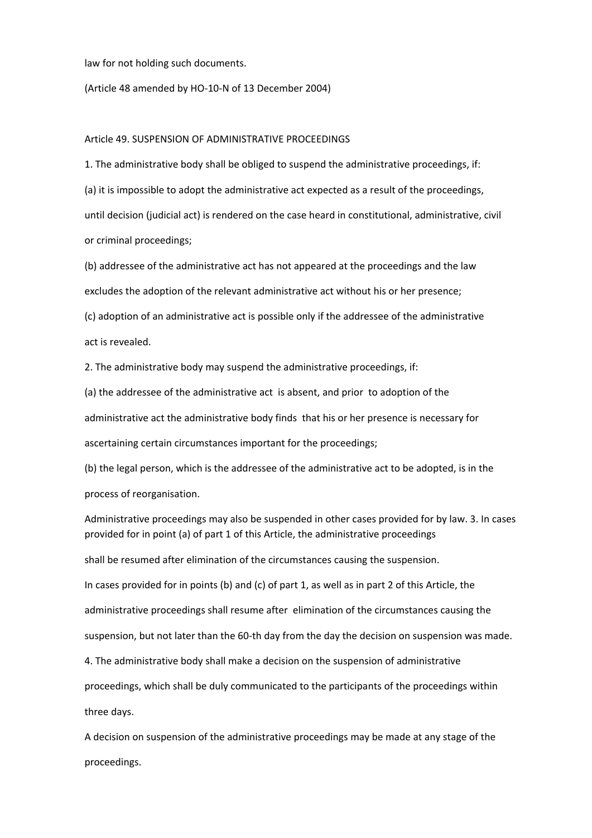law for not holding such documents.

(Article 48 amended by HO‐10‐N of 13 December 2004)

#### Article 49. SUSPENSION OF ADMINISTRATIVE PROCEEDINGS

1. The administrative body shall be obliged to suspend the administrative proceedings, if: (a) it is impossible to adopt the administrative act expected as a result of the proceedings, until decision (judicial act) is rendered on the case heard in constitutional, administrative, civil or criminal proceedings;

(b) addressee of the administrative act has not appeared at the proceedings and the law excludes the adoption of the relevant administrative act without his or her presence; (c) adoption of an administrative act is possible only if the addressee of the administrative

act is revealed.

2. The administrative body may suspend the administrative proceedings, if:

(a) the addressee of the administrative act is absent, and prior to adoption of the administrative act the administrative body finds that his or her presence is necessary for ascertaining certain circumstances important for the proceedings;

(b) the legal person, which is the addressee of the administrative act to be adopted, is in the process of reorganisation.

Administrative proceedings may also be suspended in other cases provided for by law. 3. In cases provided for in point (a) of part 1 of this Article, the administrative proceedings

shall be resumed after elimination of the circumstances causing the suspension.

In cases provided for in points (b) and (c) of part 1, as well as in part 2 of this Article, the administrative proceedings shall resume after elimination of the circumstances causing the suspension, but not later than the 60-th day from the day the decision on suspension was made.

4. The administrative body shall make a decision on the suspension of administrative proceedings, which shall be duly communicated to the participants of the proceedings within three days.

A decision on suspension of the administrative proceedings may be made at any stage of the proceedings.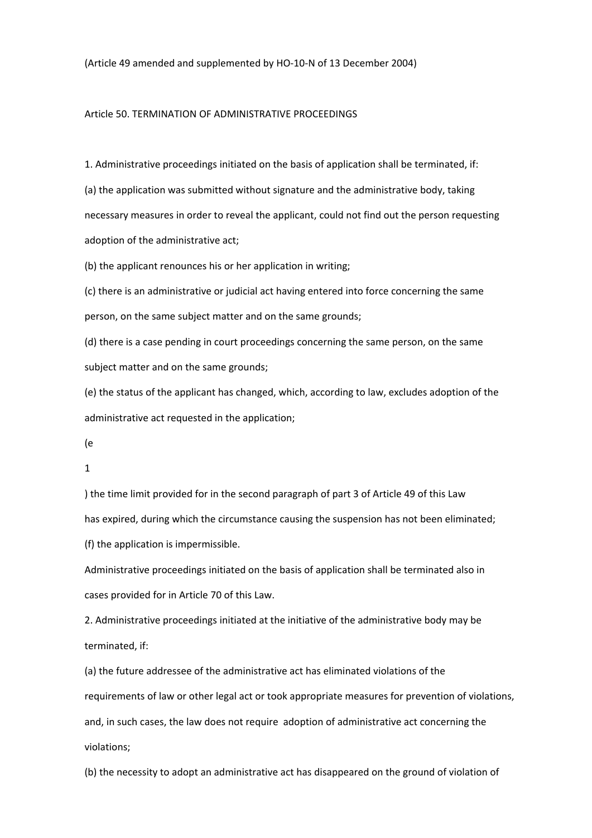(Article 49 amended and supplemented by HO‐10‐N of 13 December 2004)

#### Article 50. TERMINATION OF ADMINISTRATIVE PROCEEDINGS

1. Administrative proceedings initiated on the basis of application shall be terminated, if: (a) the application was submitted without signature and the administrative body, taking necessary measures in order to reveal the applicant, could not find out the person requesting adoption of the administrative act;

(b) the applicant renounces his or her application in writing;

(c) there is an administrative or judicial act having entered into force concerning the same person, on the same subject matter and on the same grounds;

(d) there is a case pending in court proceedings concerning the same person, on the same subject matter and on the same grounds;

(e) the status of the applicant has changed, which, according to law, excludes adoption of the administrative act requested in the application;

(e

1

) the time limit provided for in the second paragraph of part 3 of Article 49 of this Law has expired, during which the circumstance causing the suspension has not been eliminated; (f) the application is impermissible.

Administrative proceedings initiated on the basis of application shall be terminated also in cases provided for in Article 70 of this Law.

2. Administrative proceedings initiated at the initiative of the administrative body may be terminated, if:

(a) the future addressee of the administrative act has eliminated violations of the requirements of law or other legal act or took appropriate measures for prevention of violations, and, in such cases, the law does not require adoption of administrative act concerning the violations;

(b) the necessity to adopt an administrative act has disappeared on the ground of violation of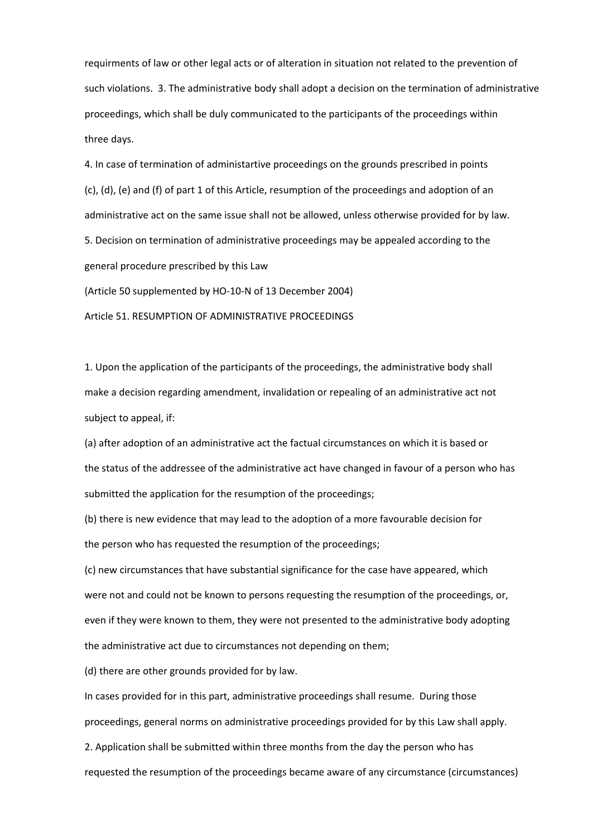requirments of law or other legal acts or of alteration in situation not related to the prevention of such violations. 3. The administrative body shall adopt a decision on the termination of administrative proceedings, which shall be duly communicated to the participants of the proceedings within three days.

4. In case of termination of administartive proceedings on the grounds prescribed in points (c), (d), (e) and (f) of part 1 of this Article, resumption of the proceedings and adoption of an administrative act on the same issue shall not be allowed, unless otherwise provided for by law. 5. Decision on termination of administrative proceedings may be appealed according to the general procedure prescribed by this Law (Article 50 supplemented by HO‐10‐N of 13 December 2004)

Article 51. RESUMPTION OF ADMINISTRATIVE PROCEEDINGS

1. Upon the application of the participants of the proceedings, the administrative body shall make a decision regarding amendment, invalidation or repealing of an administrative act not subject to appeal, if:

(a) after adoption of an administrative act the factual circumstances on which it is based or the status of the addressee of the administrative act have changed in favour of a person who has submitted the application for the resumption of the proceedings;

(b) there is new evidence that may lead to the adoption of a more favourable decision for the person who has requested the resumption of the proceedings;

(c) new circumstances that have substantial significance for the case have appeared, which were not and could not be known to persons requesting the resumption of the proceedings, or, even if they were known to them, they were not presented to the administrative body adopting the administrative act due to circumstances not depending on them;

(d) there are other grounds provided for by law.

In cases provided for in this part, administrative proceedings shall resume. During those proceedings, general norms on administrative proceedings provided for by this Law shall apply.

2. Application shall be submitted within three months from the day the person who has requested the resumption of the proceedings became aware of any circumstance (circumstances)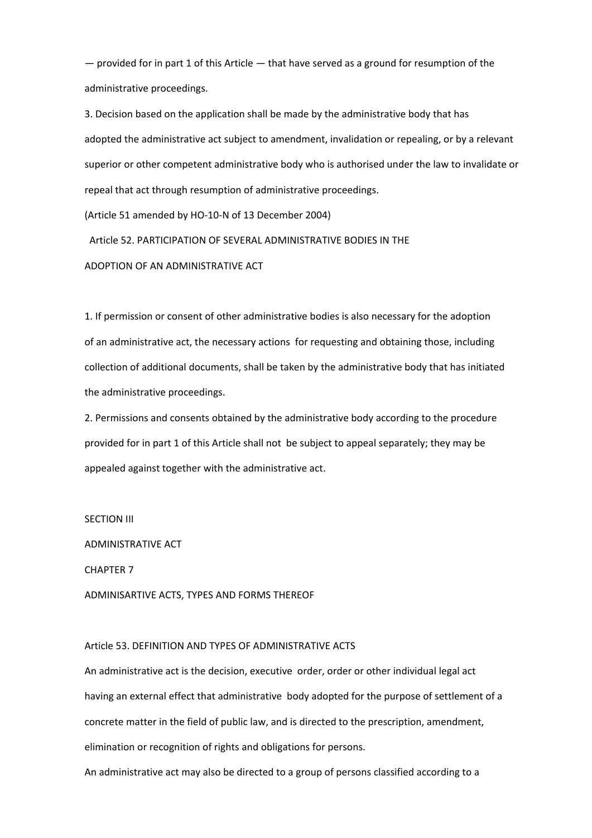— provided for in part 1 of this Article — that have served as a ground for resumption of the administrative proceedings.

3. Decision based on the application shall be made by the administrative body that has adopted the administrative act subject to amendment, invalidation or repealing, or by a relevant superior or other competent administrative body who is authorised under the law to invalidate or repeal that act through resumption of administrative proceedings.

(Article 51 amended by HO‐10‐N of 13 December 2004)

Article 52. PARTICIPATION OF SEVERAL ADMINISTRATIVE BODIES IN THE

ADOPTION OF AN ADMINISTRATIVE ACT

1. If permission or consent of other administrative bodies is also necessary for the adoption of an administrative act, the necessary actions for requesting and obtaining those, including collection of additional documents, shall be taken by the administrative body that has initiated the administrative proceedings.

2. Permissions and consents obtained by the administrative body according to the procedure provided for in part 1 of this Article shall not be subject to appeal separately; they may be appealed against together with the administrative act.

#### SECTION III

ADMINISTRATIVE ACT

CHAPTER 7

ADMINISARTIVE ACTS, TYPES AND FORMS THEREOF

#### Article 53. DEFINITION AND TYPES OF ADMINISTRATIVE ACTS

An administrative act is the decision, executive order, order or other individual legal act having an external effect that administrative body adopted for the purpose of settlement of a concrete matter in the field of public law, and is directed to the prescription, amendment, elimination or recognition of rights and obligations for persons.

An administrative act may also be directed to a group of persons classified according to a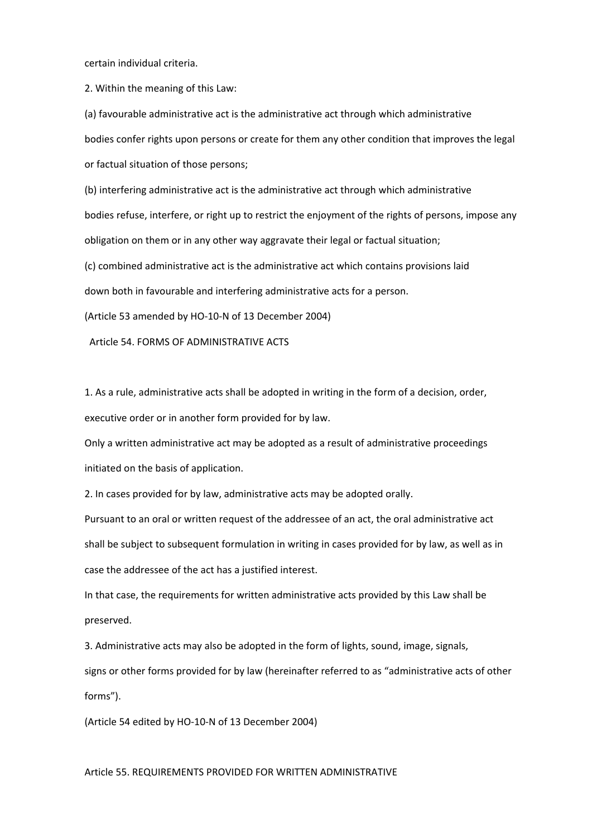certain individual criteria.

2. Within the meaning of this Law:

(a) favourable administrative act is the administrative act through which administrative bodies confer rights upon persons or create for them any other condition that improves the legal or factual situation of those persons;

(b) interfering administrative act is the administrative act through which administrative bodies refuse, interfere, or right up to restrict the enjoyment of the rights of persons, impose any obligation on them or in any other way aggravate their legal or factual situation;

(c) combined administrative act is the administrative act which contains provisions laid

down both in favourable and interfering administrative acts for a person.

(Article 53 amended by HO‐10‐N of 13 December 2004)

Article 54. FORMS OF ADMINISTRATIVE ACTS

1. As a rule, administrative acts shall be adopted in writing in the form of a decision, order, executive order or in another form provided for by law.

Only a written administrative act may be adopted as a result of administrative proceedings initiated on the basis of application.

2. In cases provided for by law, administrative acts may be adopted orally.

Pursuant to an oral or written request of the addressee of an act, the oral administrative act shall be subject to subsequent formulation in writing in cases provided for by law, as well as in case the addressee of the act has a justified interest.

In that case, the requirements for written administrative acts provided by this Law shall be preserved.

3. Administrative acts may also be adopted in the form of lights, sound, image, signals, signs or other forms provided for by law (hereinafter referred to as "administrative acts of other forms").

(Article 54 edited by HO‐10‐N of 13 December 2004)

Article 55. REQUIREMENTS PROVIDED FOR WRITTEN ADMINISTRATIVE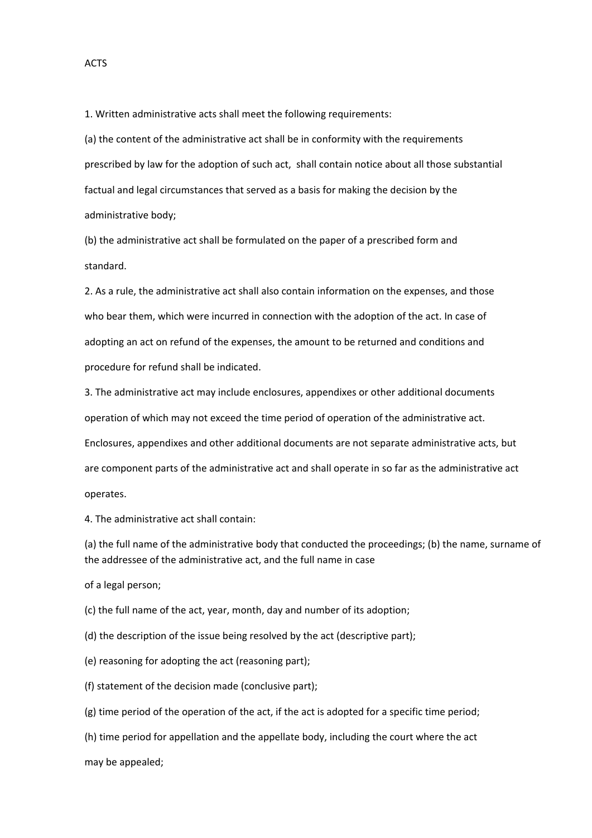1. Written administrative acts shall meet the following requirements:

(a) the content of the administrative act shall be in conformity with the requirements prescribed by law for the adoption of such act, shall contain notice about all those substantial factual and legal circumstances that served as a basis for making the decision by the administrative body;

(b) the administrative act shall be formulated on the paper of a prescribed form and standard.

2. As a rule, the administrative act shall also contain information on the expenses, and those who bear them, which were incurred in connection with the adoption of the act. In case of adopting an act on refund of the expenses, the amount to be returned and conditions and procedure for refund shall be indicated.

3. The administrative act may include enclosures, appendixes or other additional documents operation of which may not exceed the time period of operation of the administrative act. Enclosures, appendixes and other additional documents are not separate administrative acts, but are component parts of the administrative act and shall operate in so far as the administrative act operates.

4. The administrative act shall contain:

(a) the full name of the administrative body that conducted the proceedings; (b) the name, surname of the addressee of the administrative act, and the full name in case

of a legal person;

(c) the full name of the act, year, month, day and number of its adoption;

(d) the description of the issue being resolved by the act (descriptive part);

(e) reasoning for adopting the act (reasoning part);

(f) statement of the decision made (conclusive part);

(g) time period of the operation of the act, if the act is adopted for a specific time period;

(h) time period for appellation and the appellate body, including the court where the act

may be appealed;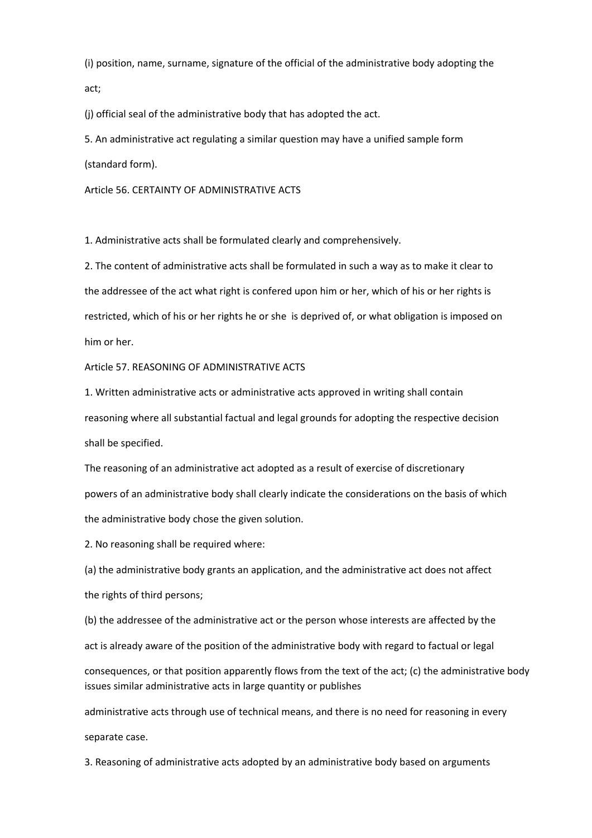(i) position, name, surname, signature of the official of the administrative body adopting the act;

(j) official seal of the administrative body that has adopted the act.

5. An administrative act regulating a similar question may have a unified sample form (standard form).

Article 56. CERTAINTY OF ADMINISTRATIVE ACTS

1. Administrative acts shall be formulated clearly and comprehensively.

2. The content of administrative acts shall be formulated in such a way as to make it clear to the addressee of the act what right is confered upon him or her, which of his or her rights is restricted, which of his or her rights he or she is deprived of, or what obligation is imposed on him or her.

Article 57. REASONING OF ADMINISTRATIVE ACTS

1. Written administrative acts or administrative acts approved in writing shall contain reasoning where all substantial factual and legal grounds for adopting the respective decision shall be specified.

The reasoning of an administrative act adopted as a result of exercise of discretionary powers of an administrative body shall clearly indicate the considerations on the basis of which the administrative body chose the given solution.

2. No reasoning shall be required where:

(a) the administrative body grants an application, and the administrative act does not affect the rights of third persons;

(b) the addressee of the administrative act or the person whose interests are affected by the act is already aware of the position of the administrative body with regard to factual or legal consequences, or that position apparently flows from the text of the act; (c) the administrative body issues similar administrative acts in large quantity or publishes

administrative acts through use of technical means, and there is no need for reasoning in every separate case.

3. Reasoning of administrative acts adopted by an administrative body based on arguments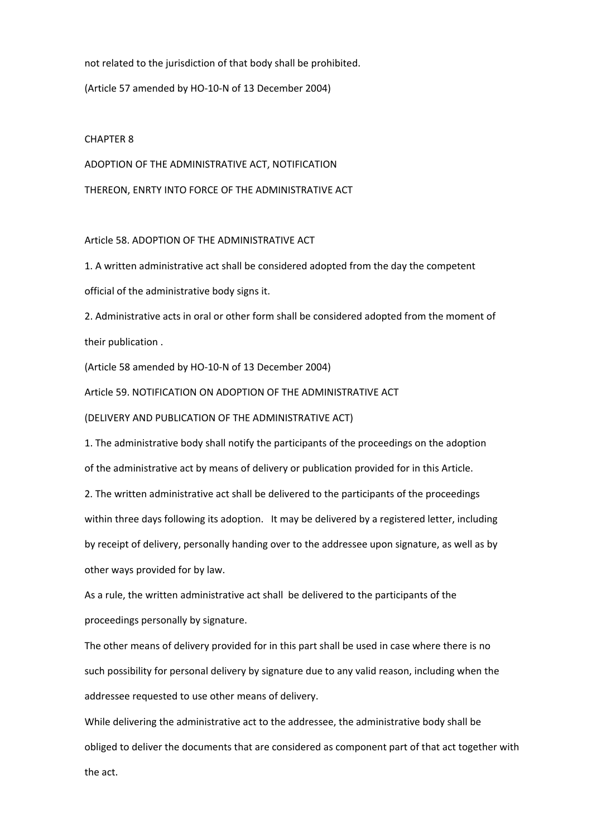not related to the jurisdiction of that body shall be prohibited.

(Article 57 amended by HO‐10‐N of 13 December 2004)

#### CHAPTER 8

ADOPTION OF THE ADMINISTRATIVE ACT, NOTIFICATION THEREON, ENRTY INTO FORCE OF THE ADMINISTRATIVE ACT

#### Article 58. ADOPTION OF THE ADMINISTRATIVE ACT

1. A written administrative act shall be considered adopted from the day the competent official of the administrative body signs it.

2. Administrative acts in oral or other form shall be considered adopted from the moment of their publication .

(Article 58 amended by HO‐10‐N of 13 December 2004)

Article 59. NOTIFICATION ON ADOPTION OF THE ADMINISTRATIVE ACT

(DELIVERY AND PUBLICATION OF THE ADMINISTRATIVE ACT)

1. The administrative body shall notify the participants of the proceedings on the adoption of the administrative act by means of delivery or publication provided for in this Article.

2. The written administrative act shall be delivered to the participants of the proceedings within three days following its adoption. It may be delivered by a registered letter, including by receipt of delivery, personally handing over to the addressee upon signature, as well as by other ways provided for by law.

As a rule, the written administrative act shall be delivered to the participants of the proceedings personally by signature.

The other means of delivery provided for in this part shall be used in case where there is no such possibility for personal delivery by signature due to any valid reason, including when the addressee requested to use other means of delivery.

While delivering the administrative act to the addressee, the administrative body shall be obliged to deliver the documents that are considered as component part of that act together with the act.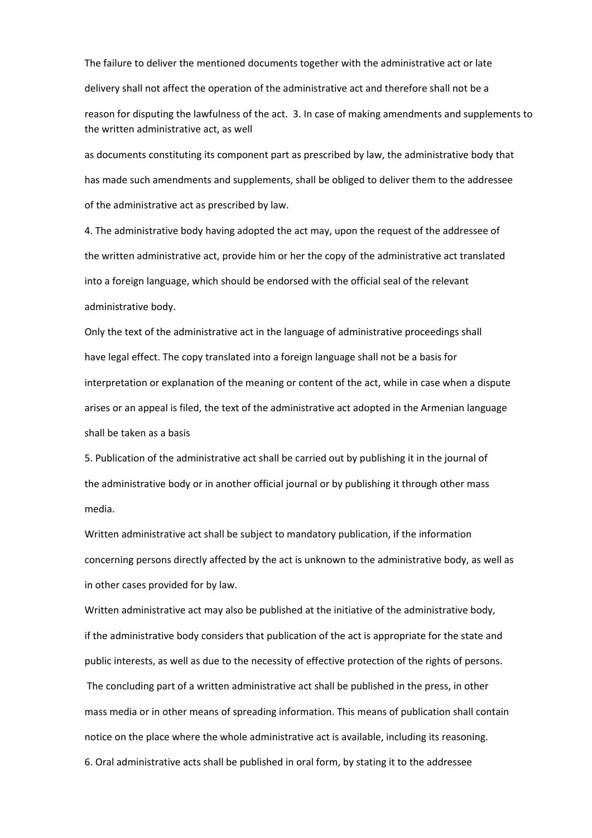The failure to deliver the mentioned documents together with the administrative act or late delivery shall not affect the operation of the administrative act and therefore shall not be a reason for disputing the lawfulness of the act. 3. In case of making amendments and supplements to the written administrative act, as well

as documents constituting its component part as prescribed by law, the administrative body that has made such amendments and supplements, shall be obliged to deliver them to the addressee of the administrative act as prescribed by law.

4. The administrative body having adopted the act may, upon the request of the addressee of the written administrative act, provide him or her the copy of the administrative act translated into a foreign language, which should be endorsed with the official seal of the relevant administrative body.

Only the text of the administrative act in the language of administrative proceedings shall have legal effect. The copy translated into a foreign language shall not be a basis for interpretation or explanation of the meaning or content of the act, while in case when a dispute arises or an appeal is filed, the text of the administrative act adopted in the Armenian language shall be taken as a basis

5. Publication of the administrative act shall be carried out by publishing it in the journal of the administrative body or in another official journal or by publishing it through other mass media.

Written administrative act shall be subject to mandatory publication, if the information concerning persons directly affected by the act is unknown to the administrative body, as well as in other cases provided for by law.

Written administrative act may also be published at the initiative of the administrative body, if the administrative body considers that publication of the act is appropriate for the state and public interests, as well as due to the necessity of effective protection of the rights of persons. The concluding part of a written administrative act shall be published in the press, in other mass media or in other means of spreading information. This means of publication shall contain notice on the place where the whole administrative act is available, including its reasoning. 6. Oral administrative acts shall be published in oral form, by stating it to the addressee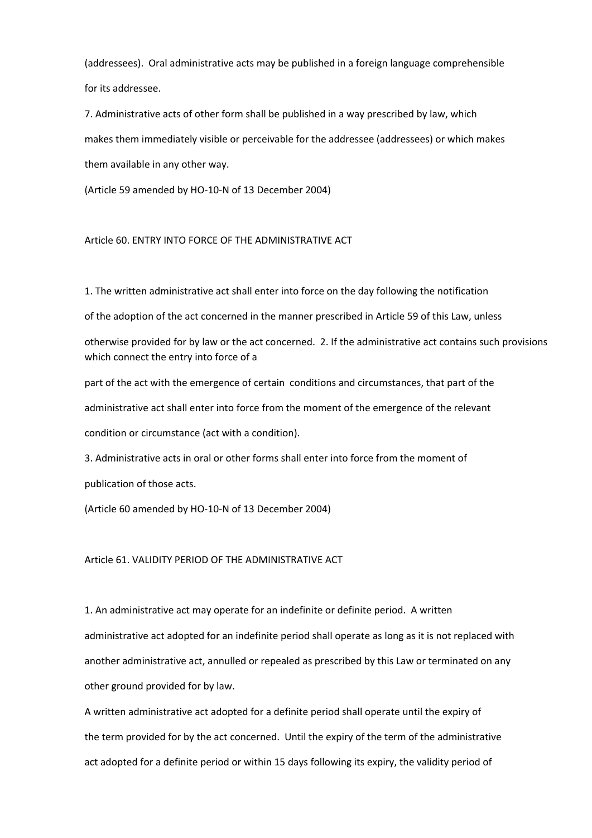(addressees). Oral administrative acts may be published in a foreign language comprehensible for its addressee.

7. Administrative acts of other form shall be published in a way prescribed by law, which makes them immediately visible or perceivable for the addressee (addressees) or which makes them available in any other way.

(Article 59 amended by HO‐10‐N of 13 December 2004)

#### Article 60. ENTRY INTO FORCE OF THE ADMINISTRATIVE ACT

1. The written administrative act shall enter into force on the day following the notification

of the adoption of the act concerned in the manner prescribed in Article 59 of this Law, unless

otherwise provided for by law or the act concerned. 2. If the administrative act contains such provisions which connect the entry into force of a

part of the act with the emergence of certain conditions and circumstances, that part of the administrative act shall enter into force from the moment of the emergence of the relevant condition or circumstance (act with a condition).

3. Administrative acts in oral or other forms shall enter into force from the moment of publication of those acts.

(Article 60 amended by HO‐10‐N of 13 December 2004)

#### Article 61. VALIDITY PERIOD OF THE ADMINISTRATIVE ACT

1. An administrative act may operate for an indefinite or definite period. A written administrative act adopted for an indefinite period shall operate as long as it is not replaced with another administrative act, annulled or repealed as prescribed by this Law or terminated on any other ground provided for by law.

A written administrative act adopted for a definite period shall operate until the expiry of the term provided for by the act concerned. Until the expiry of the term of the administrative act adopted for a definite period or within 15 days following its expiry, the validity period of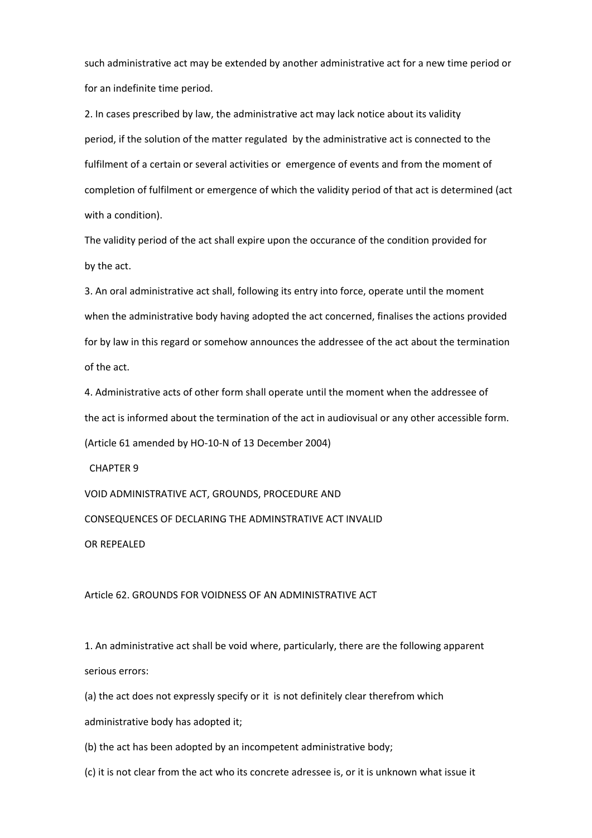such administrative act may be extended by another administrative act for a new time period or for an indefinite time period.

2. In cases prescribed by law, the administrative act may lack notice about its validity period, if the solution of the matter regulated by the administrative act is connected to the fulfilment of a certain or several activities or emergence of events and from the moment of completion of fulfilment or emergence of which the validity period of that act is determined (act with a condition).

The validity period of the act shall expire upon the occurance of the condition provided for by the act.

3. An oral administrative act shall, following its entry into force, operate until the moment when the administrative body having adopted the act concerned, finalises the actions provided for by law in this regard or somehow announces the addressee of the act about the termination of the act.

4. Administrative acts of other form shall operate until the moment when the addressee of the act is informed about the termination of the act in audiovisual or any other accessible form. (Article 61 amended by HO‐10‐N of 13 December 2004)

CHAPTER 9

VOID ADMINISTRATIVE ACT, GROUNDS, PROCEDURE AND

CONSEQUENCES OF DECLARING THE ADMINSTRATIVE ACT INVALID

OR REPEALED

Article 62. GROUNDS FOR VOIDNESS OF AN ADMINISTRATIVE ACT

1. An administrative act shall be void where, particularly, there are the following apparent serious errors:

(a) the act does not expressly specify or it is not definitely clear therefrom which

administrative body has adopted it;

(b) the act has been adopted by an incompetent administrative body;

(c) it is not clear from the act who its concrete adressee is, or it is unknown what issue it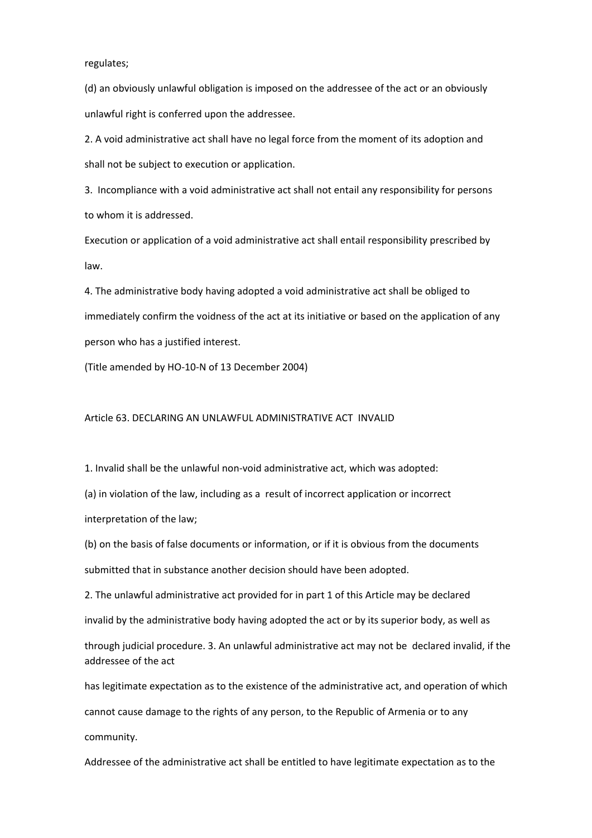regulates;

(d) an obviously unlawful obligation is imposed on the addressee of the act or an obviously unlawful right is conferred upon the addressee.

2. A void administrative act shall have no legal force from the moment of its adoption and shall not be subject to execution or application.

3. Incompliance with a void administrative act shall not entail any responsibility for persons to whom it is addressed.

Execution or application of a void administrative act shall entail responsibility prescribed by law.

4. The administrative body having adopted a void administrative act shall be obliged to immediately confirm the voidness of the act at its initiative or based on the application of any person who has a justified interest.

(Title amended by HO‐10‐N of 13 December 2004)

Article 63. DECLARING AN UNLAWFUL ADMINISTRATIVE ACT INVALID

1. Invalid shall be the unlawful non‐void administrative act, which was adopted:

(a) in violation of the law, including as a result of incorrect application or incorrect interpretation of the law;

(b) on the basis of false documents or information, or if it is obvious from the documents submitted that in substance another decision should have been adopted.

2. The unlawful administrative act provided for in part 1 of this Article may be declared invalid by the administrative body having adopted the act or by its superior body, as well as

through judicial procedure. 3. An unlawful administrative act may not be declared invalid, if the addressee of the act

has legitimate expectation as to the existence of the administrative act, and operation of which cannot cause damage to the rights of any person, to the Republic of Armenia or to any community.

Addressee of the administrative act shall be entitled to have legitimate expectation as to the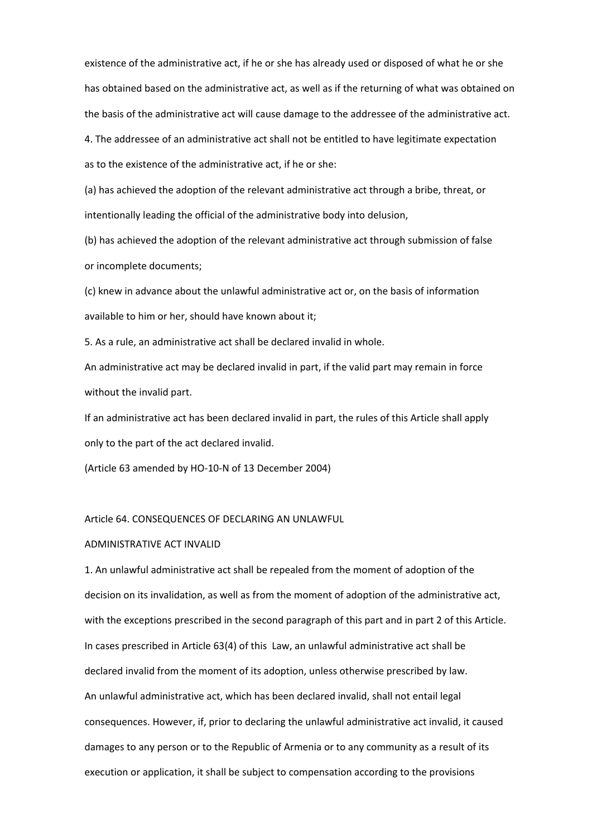existence of the administrative act, if he or she has already used or disposed of what he or she has obtained based on the administrative act, as well as if the returning of what was obtained on the basis of the administrative act will cause damage to the addressee of the administrative act.

4. The addressee of an administrative act shall not be entitled to have legitimate expectation

as to the existence of the administrative act, if he or she:

(a) has achieved the adoption of the relevant administrative act through a bribe, threat, or intentionally leading the official of the administrative body into delusion,

(b) has achieved the adoption of the relevant administrative act through submission of false or incomplete documents;

(c) knew in advance about the unlawful administrative act or, on the basis of information available to him or her, should have known about it;

5. As a rule, an administrative act shall be declared invalid in whole.

An administrative act may be declared invalid in part, if the valid part may remain in force without the invalid part.

If an administrative act has been declared invalid in part, the rules of this Article shall apply only to the part of the act declared invalid.

(Article 63 amended by HO‐10‐N of 13 December 2004)

#### Article 64. CONSEQUENCES OF DECLARING AN UNLAWFUL

#### ADMINISTRATIVE ACT INVALID

1. An unlawful administrative act shall be repealed from the moment of adoption of the decision on its invalidation, as well as from the moment of adoption of the administrative act, with the exceptions prescribed in the second paragraph of this part and in part 2 of this Article. In cases prescribed in Article 63(4) of this Law, an unlawful administrative act shall be declared invalid from the moment of its adoption, unless otherwise prescribed by law. An unlawful administrative act, which has been declared invalid, shall not entail legal consequences. However, if, prior to declaring the unlawful administrative act invalid, it caused damages to any person or to the Republic of Armenia or to any community as a result of its execution or application, it shall be subject to compensation according to the provisions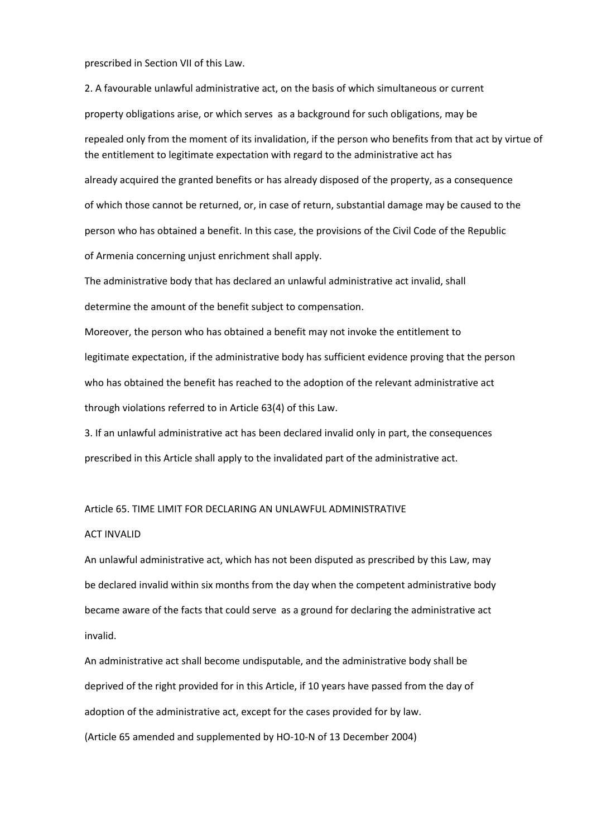prescribed in Section VII of this Law.

2. A favourable unlawful administrative act, on the basis of which simultaneous or current property obligations arise, or which serves as a background for such obligations, may be repealed only from the moment of its invalidation, if the person who benefits from that act by virtue of the entitlement to legitimate expectation with regard to the administrative act has already acquired the granted benefits or has already disposed of the property, as a consequence of which those cannot be returned, or, in case of return, substantial damage may be caused to the person who has obtained a benefit. In this case, the provisions of the Civil Code of the Republic of Armenia concerning unjust enrichment shall apply.

The administrative body that has declared an unlawful administrative act invalid, shall determine the amount of the benefit subject to compensation.

Moreover, the person who has obtained a benefit may not invoke the entitlement to legitimate expectation, if the administrative body has sufficient evidence proving that the person who has obtained the benefit has reached to the adoption of the relevant administrative act through violations referred to in Article 63(4) of this Law.

3. If an unlawful administrative act has been declared invalid only in part, the consequences prescribed in this Article shall apply to the invalidated part of the administrative act.

#### Article 65. TIME LIMIT FOR DECLARING AN UNLAWFUL ADMINISTRATIVE

#### ACT INVALID

An unlawful administrative act, which has not been disputed as prescribed by this Law, may be declared invalid within six months from the day when the competent administrative body became aware of the facts that could serve as a ground for declaring the administrative act invalid.

An administrative act shall become undisputable, and the administrative body shall be deprived of the right provided for in this Article, if 10 years have passed from the day of adoption of the administrative act, except for the cases provided for by law. (Article 65 amended and supplemented by HO‐10‐N of 13 December 2004)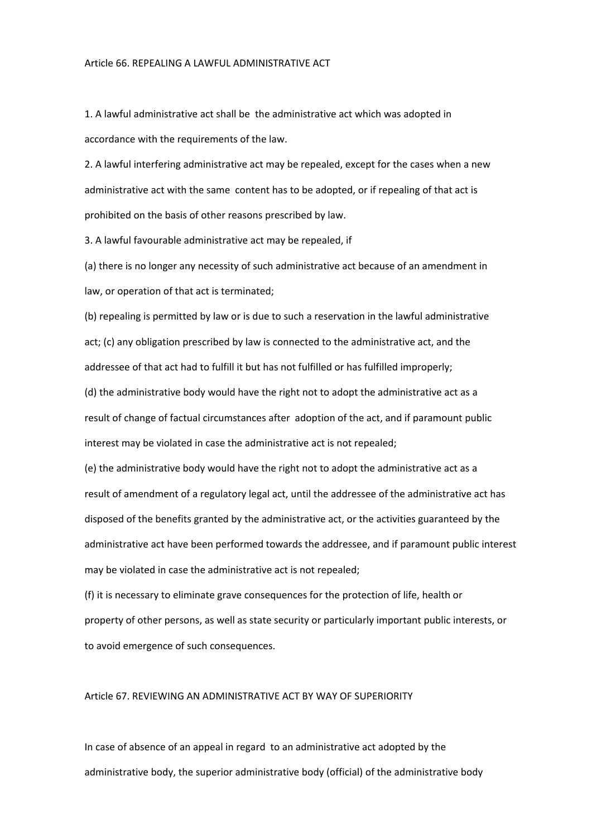1. A lawful administrative act shall be the administrative act which was adopted in accordance with the requirements of the law.

2. A lawful interfering administrative act may be repealed, except for the cases when a new administrative act with the same content has to be adopted, or if repealing of that act is prohibited on the basis of other reasons prescribed by law.

3. A lawful favourable administrative act may be repealed, if

(a) there is no longer any necessity of such administrative act because of an amendment in law, or operation of that act is terminated;

(b) repealing is permitted by law or is due to such a reservation in the lawful administrative act; (c) any obligation prescribed by law is connected to the administrative act, and the addressee of that act had to fulfill it but has not fulfilled or has fulfilled improperly;

(d) the administrative body would have the right not to adopt the administrative act as a result of change of factual circumstances after adoption of the act, and if paramount public interest may be violated in case the administrative act is not repealed;

(e) the administrative body would have the right not to adopt the administrative act as a result of amendment of a regulatory legal act, until the addressee of the administrative act has disposed of the benefits granted by the administrative act, or the activities guaranteed by the administrative act have been performed towards the addressee, and if paramount public interest may be violated in case the administrative act is not repealed;

(f) it is necessary to eliminate grave consequences for the protection of life, health or property of other persons, as well as state security or particularly important public interests, or to avoid emergence of such consequences.

#### Article 67. REVIEWING AN ADMINISTRATIVE ACT BY WAY OF SUPERIORITY

In case of absence of an appeal in regard to an administrative act adopted by the administrative body, the superior administrative body (official) of the administrative body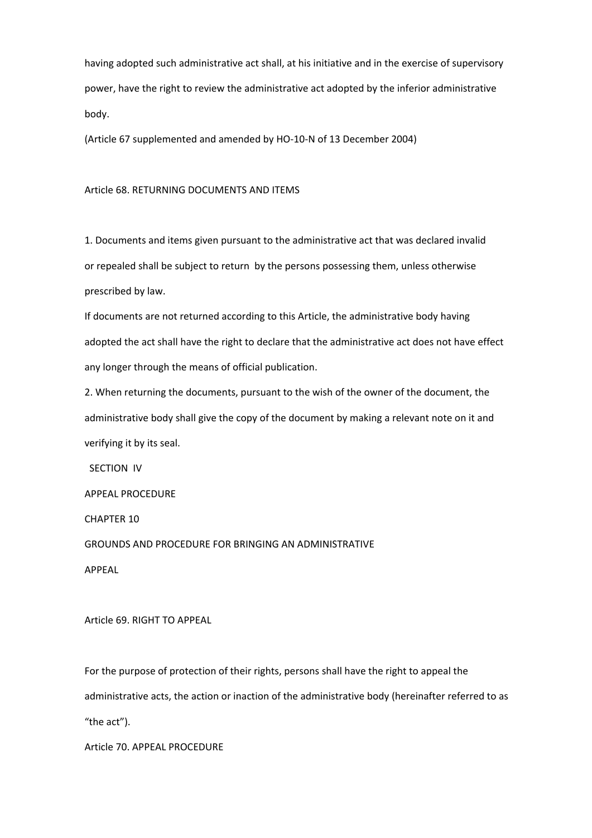having adopted such administrative act shall, at his initiative and in the exercise of supervisory power, have the right to review the administrative act adopted by the inferior administrative body.

(Article 67 supplemented and amended by HO‐10‐N of 13 December 2004)

#### Article 68. RETURNING DOCUMENTS AND ITEMS

1. Documents and items given pursuant to the administrative act that was declared invalid or repealed shall be subject to return by the persons possessing them, unless otherwise prescribed by law.

If documents are not returned according to this Article, the administrative body having adopted the act shall have the right to declare that the administrative act does not have effect any longer through the means of official publication.

2. When returning the documents, pursuant to the wish of the owner of the document, the administrative body shall give the copy of the document by making a relevant note on it and verifying it by its seal.

SECTION IV

APPEAL PROCEDURE

CHAPTER 10

GROUNDS AND PROCEDURE FOR BRINGING AN ADMINISTRATIVE

APPEAL

Article 69. RIGHT TO APPEAL

For the purpose of protection of their rights, persons shall have the right to appeal the administrative acts, the action or inaction of the administrative body (hereinafter referred to as "the act").

Article 70. APPEAL PROCEDURE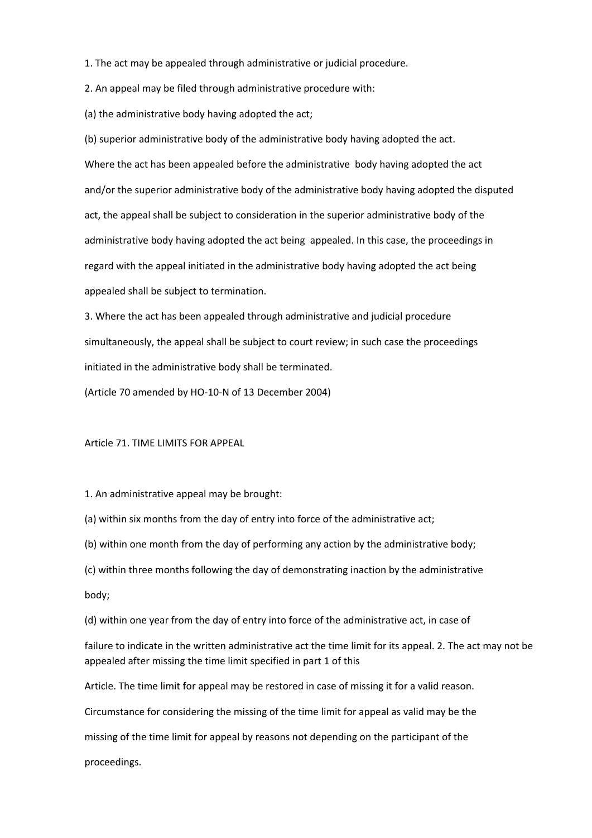1. The act may be appealed through administrative or judicial procedure.

2. An appeal may be filed through administrative procedure with:

(a) the administrative body having adopted the act;

(b) superior administrative body of the administrative body having adopted the act. Where the act has been appealed before the administrative body having adopted the act and/or the superior administrative body of the administrative body having adopted the disputed act, the appeal shall be subject to consideration in the superior administrative body of the administrative body having adopted the act being appealed. In this case, the proceedings in regard with the appeal initiated in the administrative body having adopted the act being appealed shall be subject to termination.

3. Where the act has been appealed through administrative and judicial procedure simultaneously, the appeal shall be subject to court review; in such case the proceedings initiated in the administrative body shall be terminated.

(Article 70 amended by HO‐10‐N of 13 December 2004)

#### Article 71. TIME LIMITS FOR APPEAL

1. An administrative appeal may be brought:

(a) within six months from the day of entry into force of the administrative act;

(b) within one month from the day of performing any action by the administrative body;

- (c) within three months following the day of demonstrating inaction by the administrative
- body;

(d) within one year from the day of entry into force of the administrative act, in case of

failure to indicate in the written administrative act the time limit for its appeal. 2. The act may not be appealed after missing the time limit specified in part 1 of this

Article. The time limit for appeal may be restored in case of missing it for a valid reason.

Circumstance for considering the missing of the time limit for appeal as valid may be the

missing of the time limit for appeal by reasons not depending on the participant of the

proceedings.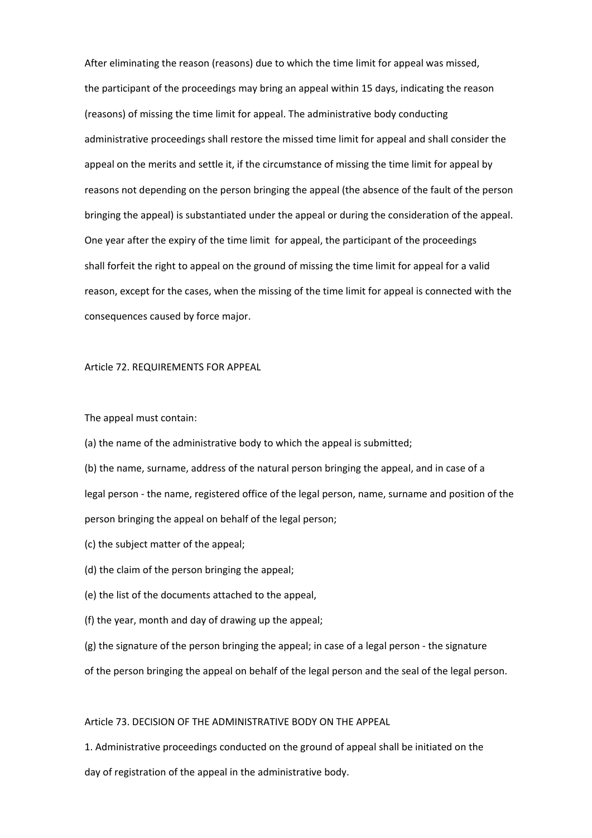After eliminating the reason (reasons) due to which the time limit for appeal was missed, the participant of the proceedings may bring an appeal within 15 days, indicating the reason (reasons) of missing the time limit for appeal. The administrative body conducting administrative proceedings shall restore the missed time limit for appeal and shall consider the appeal on the merits and settle it, if the circumstance of missing the time limit for appeal by reasons not depending on the person bringing the appeal (the absence of the fault of the person bringing the appeal) is substantiated under the appeal or during the consideration of the appeal. One year after the expiry of the time limit for appeal, the participant of the proceedings shall forfeit the right to appeal on the ground of missing the time limit for appeal for a valid reason, except for the cases, when the missing of the time limit for appeal is connected with the consequences caused by force major.

Article 72. REQUIREMENTS FOR APPEAL

The appeal must contain:

(a) the name of the administrative body to which the appeal is submitted;

(b) the name, surname, address of the natural person bringing the appeal, and in case of a legal person ‐ the name, registered office of the legal person, name, surname and position of the person bringing the appeal on behalf of the legal person;

(c) the subject matter of the appeal;

(d) the claim of the person bringing the appeal;

(e) the list of the documents attached to the appeal,

(f) the year, month and day of drawing up the appeal;

(g) the signature of the person bringing the appeal; in case of a legal person ‐ the signature

of the person bringing the appeal on behalf of the legal person and the seal of the legal person.

Article 73. DECISION OF THE ADMINISTRATIVE BODY ON THE APPEAL

1. Administrative proceedings conducted on the ground of appeal shall be initiated on the day of registration of the appeal in the administrative body.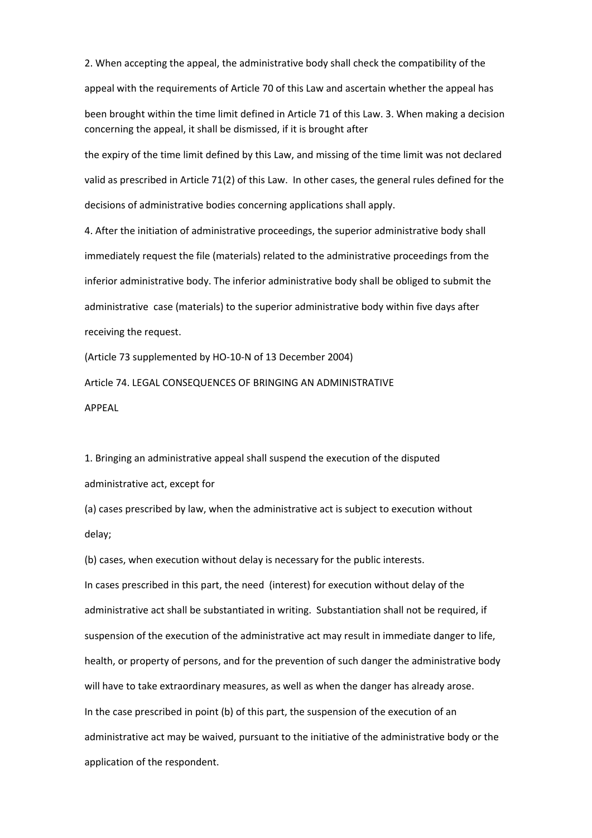2. When accepting the appeal, the administrative body shall check the compatibility of the appeal with the requirements of Article 70 of this Law and ascertain whether the appeal has been brought within the time limit defined in Article 71 of this Law. 3. When making a decision concerning the appeal, it shall be dismissed, if it is brought after the expiry of the time limit defined by this Law, and missing of the time limit was not declared

valid as prescribed in Article 71(2) of this Law. In other cases, the general rules defined for the decisions of administrative bodies concerning applications shall apply.

4. After the initiation of administrative proceedings, the superior administrative body shall immediately request the file (materials) related to the administrative proceedings from the inferior administrative body. The inferior administrative body shall be obliged to submit the administrative case (materials) to the superior administrative body within five days after receiving the request.

(Article 73 supplemented by HO‐10‐N of 13 December 2004)

Article 74. LEGAL CONSEQUENCES OF BRINGING AN ADMINISTRATIVE APPEAL

1. Bringing an administrative appeal shall suspend the execution of the disputed administrative act, except for

(b) cases, when execution without delay is necessary for the public interests.

(a) cases prescribed by law, when the administrative act is subject to execution without delay;

In cases prescribed in this part, the need (interest) for execution without delay of the administrative act shall be substantiated in writing. Substantiation shall not be required, if suspension of the execution of the administrative act may result in immediate danger to life, health, or property of persons, and for the prevention of such danger the administrative body will have to take extraordinary measures, as well as when the danger has already arose. In the case prescribed in point (b) of this part, the suspension of the execution of an administrative act may be waived, pursuant to the initiative of the administrative body or the application of the respondent.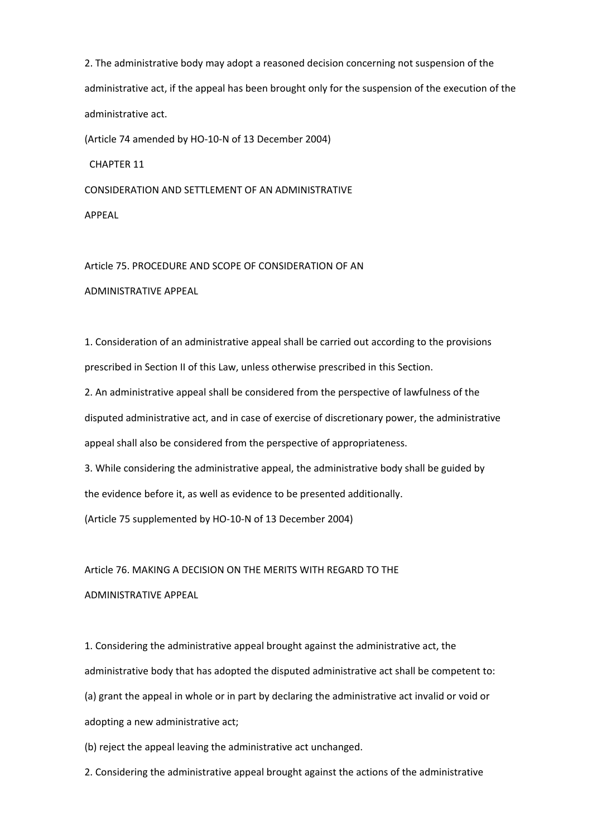2. The administrative body may adopt a reasoned decision concerning not suspension of the administrative act, if the appeal has been brought only for the suspension of the execution of the administrative act.

(Article 74 amended by HO‐10‐N of 13 December 2004)

CHAPTER 11

CONSIDERATION AND SETTLEMENT OF AN ADMINISTRATIVE APPEAL

Article 75. PROCEDURE AND SCOPE OF CONSIDERATION OF AN ADMINISTRATIVE APPEAL

1. Consideration of an administrative appeal shall be carried out according to the provisions prescribed in Section II of this Law, unless otherwise prescribed in this Section.

2. An administrative appeal shall be considered from the perspective of lawfulness of the disputed administrative act, and in case of exercise of discretionary power, the administrative appeal shall also be considered from the perspective of appropriateness.

3. While considering the administrative appeal, the administrative body shall be guided by the evidence before it, as well as evidence to be presented additionally.

(Article 75 supplemented by HO‐10‐N of 13 December 2004)

Article 76. MAKING A DECISION ON THE MERITS WITH REGARD TO THE

ADMINISTRATIVE APPEAL

1. Considering the administrative appeal brought against the administrative act, the administrative body that has adopted the disputed administrative act shall be competent to: (a) grant the appeal in whole or in part by declaring the administrative act invalid or void or adopting a new administrative act;

(b) reject the appeal leaving the administrative act unchanged.

2. Considering the administrative appeal brought against the actions of the administrative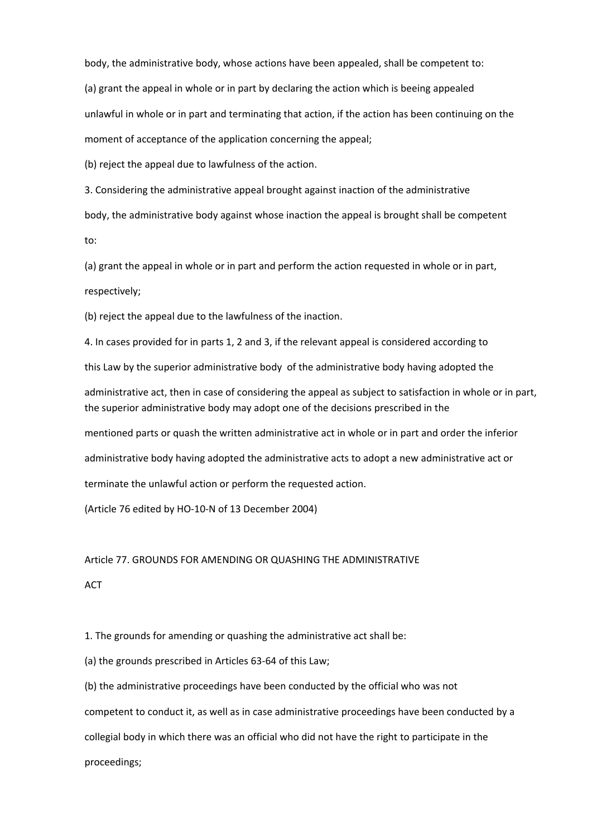body, the administrative body, whose actions have been appealed, shall be competent to:

(a) grant the appeal in whole or in part by declaring the action which is beeing appealed

unlawful in whole or in part and terminating that action, if the action has been continuing on the

moment of acceptance of the application concerning the appeal;

(b) reject the appeal due to lawfulness of the action.

3. Considering the administrative appeal brought against inaction of the administrative body, the administrative body against whose inaction the appeal is brought shall be competent to:

(a) grant the appeal in whole or in part and perform the action requested in whole or in part, respectively;

(b) reject the appeal due to the lawfulness of the inaction.

4. In cases provided for in parts 1, 2 and 3, if the relevant appeal is considered according to

this Law by the superior administrative body of the administrative body having adopted the

administrative act, then in case of considering the appeal as subject to satisfaction in whole or in part, the superior administrative body may adopt one of the decisions prescribed in the

mentioned parts or quash the written administrative act in whole or in part and order the inferior

administrative body having adopted the administrative acts to adopt a new administrative act or

terminate the unlawful action or perform the requested action.

(Article 76 edited by HO‐10‐N of 13 December 2004)

#### Article 77. GROUNDS FOR AMENDING OR QUASHING THE ADMINISTRATIVE

**ACT** 

1. The grounds for amending or quashing the administrative act shall be:

(a) the grounds prescribed in Articles 63‐64 of this Law;

(b) the administrative proceedings have been conducted by the official who was not

competent to conduct it, as well as in case administrative proceedings have been conducted by a

collegial body in which there was an official who did not have the right to participate in the

proceedings;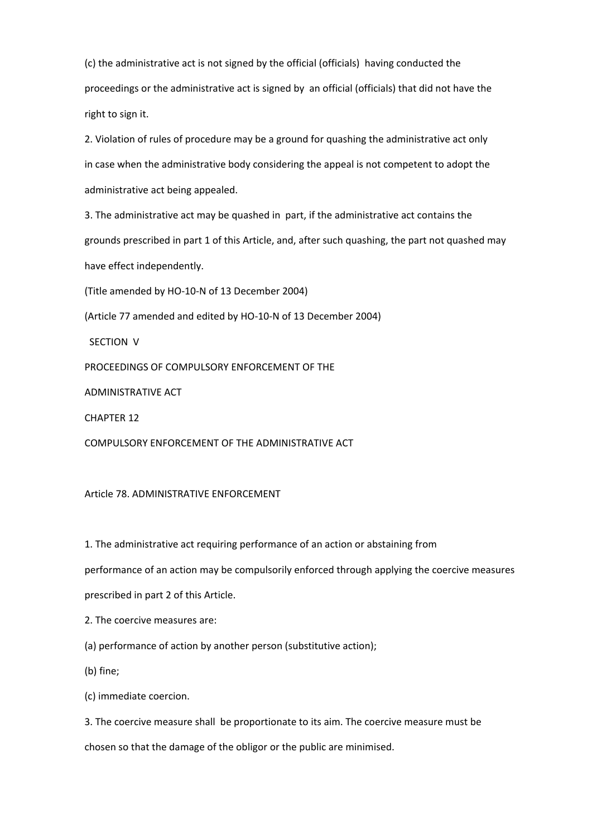(c) the administrative act is not signed by the official (officials) having conducted the proceedings or the administrative act is signed by an official (officials) that did not have the right to sign it.

2. Violation of rules of procedure may be a ground for quashing the administrative act only in case when the administrative body considering the appeal is not competent to adopt the administrative act being appealed.

3. The administrative act may be quashed in part, if the administrative act contains the grounds prescribed in part 1 of this Article, and, after such quashing, the part not quashed may have effect independently.

(Title amended by HO‐10‐N of 13 December 2004)

(Article 77 amended and edited by HO‐10‐N of 13 December 2004)

SECTION V

PROCEEDINGS OF COMPULSORY ENFORCEMENT OF THE

ADMINISTRATIVE ACT

CHAPTER 12

COMPULSORY ENFORCEMENT OF THE ADMINISTRATIVE ACT

#### Article 78. ADMINISTRATIVE ENFORCEMENT

1. The administrative act requiring performance of an action or abstaining from

performance of an action may be compulsorily enforced through applying the coercive measures

prescribed in part 2 of this Article.

2. The coercive measures are:

(a) performance of action by another person (substitutive action);

(b) fine;

(c) immediate coercion.

3. The coercive measure shall be proportionate to its aim. The coercive measure must be chosen so that the damage of the obligor or the public are minimised.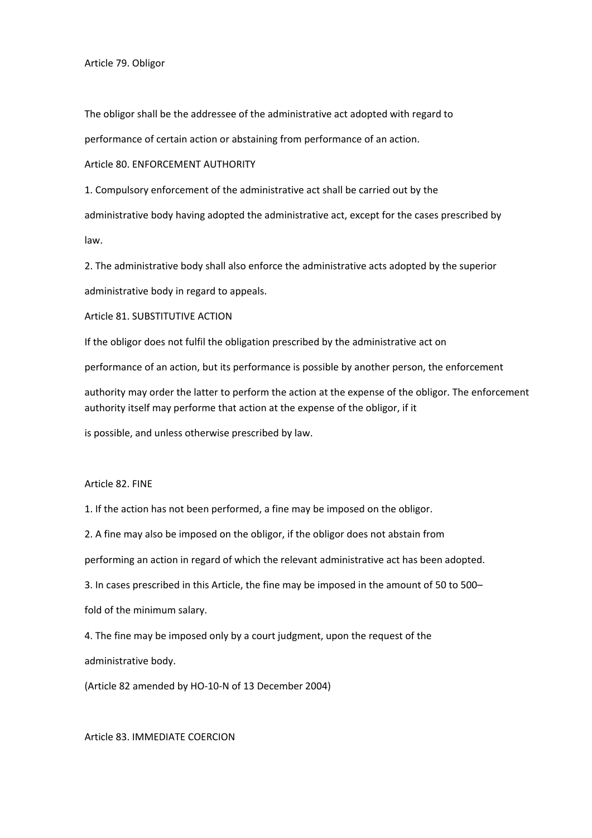Article 79. Obligor

The obligor shall be the addressee of the administrative act adopted with regard to

performance of certain action or abstaining from performance of an action.

Article 80. ENFORCEMENT AUTHORITY

1. Compulsory enforcement of the administrative act shall be carried out by the

administrative body having adopted the administrative act, except for the cases prescribed by law.

2. The administrative body shall also enforce the administrative acts adopted by the superior administrative body in regard to appeals.

Article 81. SUBSTITUTIVE ACTION

If the obligor does not fulfil the obligation prescribed by the administrative act on

performance of an action, but its performance is possible by another person, the enforcement

authority may order the latter to perform the action at the expense of the obligor. The enforcement authority itself may performe that action at the expense of the obligor, if it

is possible, and unless otherwise prescribed by law.

Article 82. FINE

1. If the action has not been performed, a fine may be imposed on the obligor.

2. A fine may also be imposed on the obligor, if the obligor does not abstain from

performing an action in regard of which the relevant administrative act has been adopted.

3. In cases prescribed in this Article, the fine may be imposed in the amount of 50 to 500– fold of the minimum salary.

4. The fine may be imposed only by a court judgment, upon the request of the

administrative body.

(Article 82 amended by HO‐10‐N of 13 December 2004)

Article 83. IMMEDIATE COERCION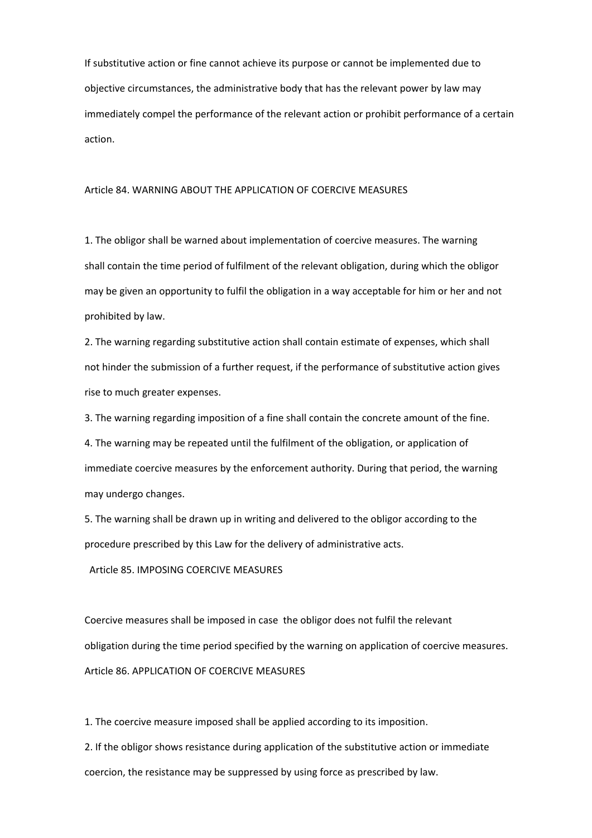If substitutive action or fine cannot achieve its purpose or cannot be implemented due to objective circumstances, the administrative body that has the relevant power by law may immediately compel the performance of the relevant action or prohibit performance of a certain action.

#### Article 84. WARNING ABOUT THE APPLICATION OF COERCIVE MEASURES

1. The obligor shall be warned about implementation of coercive measures. The warning shall contain the time period of fulfilment of the relevant obligation, during which the obligor may be given an opportunity to fulfil the obligation in a way acceptable for him or her and not prohibited by law.

2. The warning regarding substitutive action shall contain estimate of expenses, which shall not hinder the submission of a further request, if the performance of substitutive action gives rise to much greater expenses.

3. The warning regarding imposition of a fine shall contain the concrete amount of the fine.

4. The warning may be repeated until the fulfilment of the obligation, or application of immediate coercive measures by the enforcement authority. During that period, the warning may undergo changes.

5. The warning shall be drawn up in writing and delivered to the obligor according to the procedure prescribed by this Law for the delivery of administrative acts.

Article 85. IMPOSING COERCIVE MEASURES

Coercive measures shall be imposed in case the obligor does not fulfil the relevant obligation during the time period specified by the warning on application of coercive measures. Article 86. APPLICATION OF COERCIVE MEASURES

1. The coercive measure imposed shall be applied according to its imposition.

2. If the obligor shows resistance during application of the substitutive action or immediate coercion, the resistance may be suppressed by using force as prescribed by law.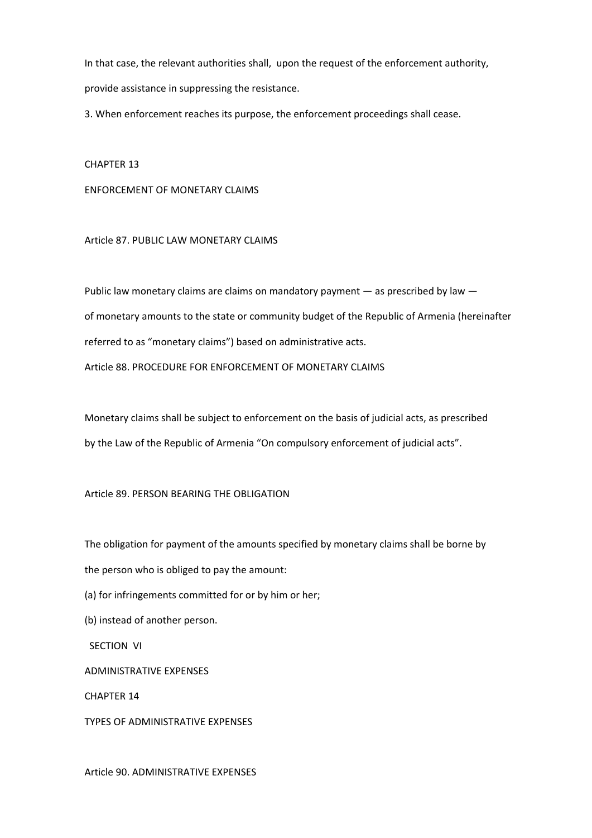In that case, the relevant authorities shall, upon the request of the enforcement authority, provide assistance in suppressing the resistance.

3. When enforcement reaches its purpose, the enforcement proceedings shall cease.

CHAPTER 13

ENFORCEMENT OF MONETARY CLAIMS

Article 87. PUBLIC LAW MONETARY CLAIMS

Public law monetary claims are claims on mandatory payment — as prescribed by law of monetary amounts to the state or community budget of the Republic of Armenia (hereinafter referred to as "monetary claims") based on administrative acts. Article 88. PROCEDURE FOR ENFORCEMENT OF MONETARY CLAIMS

Monetary claims shall be subject to enforcement on the basis of judicial acts, as prescribed by the Law of the Republic of Armenia "On compulsory enforcement of judicial acts".

Article 89. PERSON BEARING THE OBLIGATION

The obligation for payment of the amounts specified by monetary claims shall be borne by the person who is obliged to pay the amount:

(a) for infringements committed for or by him or her;

(b) instead of another person.

SECTION VI

ADMINISTRATIVE EXPENSES

CHAPTER 14

TYPES OF ADMINISTRATIVE EXPENSES

Article 90. ADMINISTRATIVE EXPENSES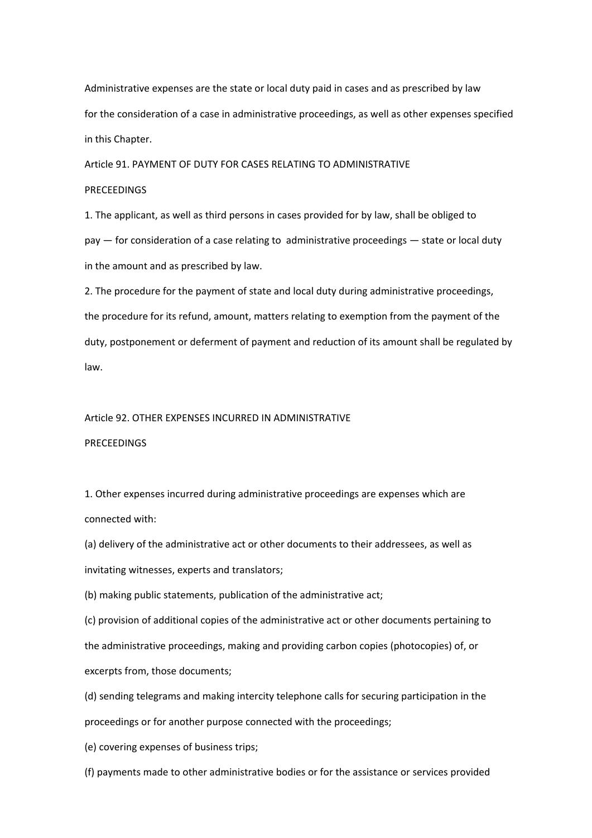Administrative expenses are the state or local duty paid in cases and as prescribed by law for the consideration of a case in administrative proceedings, as well as other expenses specified in this Chapter.

Article 91. PAYMENT OF DUTY FOR CASES RELATING TO ADMINISTRATIVE PRECEEDINGS

1. The applicant, as well as third persons in cases provided for by law, shall be obliged to pay — for consideration of a case relating to administrative proceedings — state or local duty in the amount and as prescribed by law.

2. The procedure for the payment of state and local duty during administrative proceedings, the procedure for its refund, amount, matters relating to exemption from the payment of the duty, postponement or deferment of payment and reduction of its amount shall be regulated by law.

### Article 92. OTHER EXPENSES INCURRED IN ADMINISTRATIVE

#### **PRECEEDINGS**

1. Other expenses incurred during administrative proceedings are expenses which are connected with:

(a) delivery of the administrative act or other documents to their addressees, as well as invitating witnesses, experts and translators;

(b) making public statements, publication of the administrative act;

(c) provision of additional copies of the administrative act or other documents pertaining to the administrative proceedings, making and providing carbon copies (photocopies) of, or excerpts from, those documents;

(d) sending telegrams and making intercity telephone calls for securing participation in the proceedings or for another purpose connected with the proceedings;

(e) covering expenses of business trips;

(f) payments made to other administrative bodies or for the assistance or services provided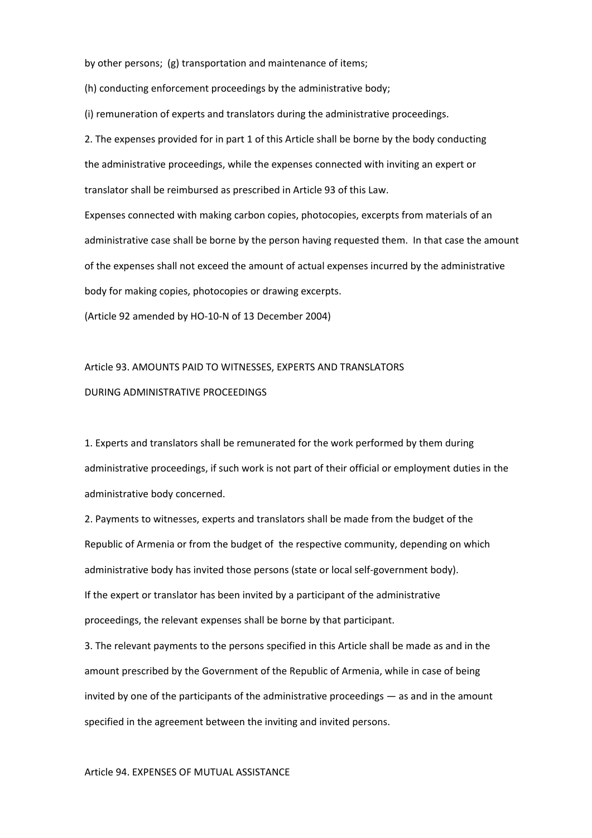by other persons; (g) transportation and maintenance of items;

(h) conducting enforcement proceedings by the administrative body;

(i) remuneration of experts and translators during the administrative proceedings.

2. The expenses provided for in part 1 of this Article shall be borne by the body conducting the administrative proceedings, while the expenses connected with inviting an expert or translator shall be reimbursed as prescribed in Article 93 of this Law.

Expenses connected with making carbon copies, photocopies, excerpts from materials of an administrative case shall be borne by the person having requested them. In that case the amount of the expenses shall not exceed the amount of actual expenses incurred by the administrative body for making copies, photocopies or drawing excerpts.

(Article 92 amended by HO‐10‐N of 13 December 2004)

# Article 93. AMOUNTS PAID TO WITNESSES, EXPERTS AND TRANSLATORS DURING ADMINISTRATIVE PROCEEDINGS

1. Experts and translators shall be remunerated for the work performed by them during administrative proceedings, if such work is not part of their official or employment duties in the administrative body concerned.

2. Payments to witnesses, experts and translators shall be made from the budget of the Republic of Armenia or from the budget of the respective community, depending on which administrative body has invited those persons (state or local self‐government body). If the expert or translator has been invited by a participant of the administrative proceedings, the relevant expenses shall be borne by that participant.

3. The relevant payments to the persons specified in this Article shall be made as and in the amount prescribed by the Government of the Republic of Armenia, while in case of being invited by one of the participants of the administrative proceedings — as and in the amount specified in the agreement between the inviting and invited persons.

#### Article 94. EXPENSES OF MUTUAL ASSISTANCE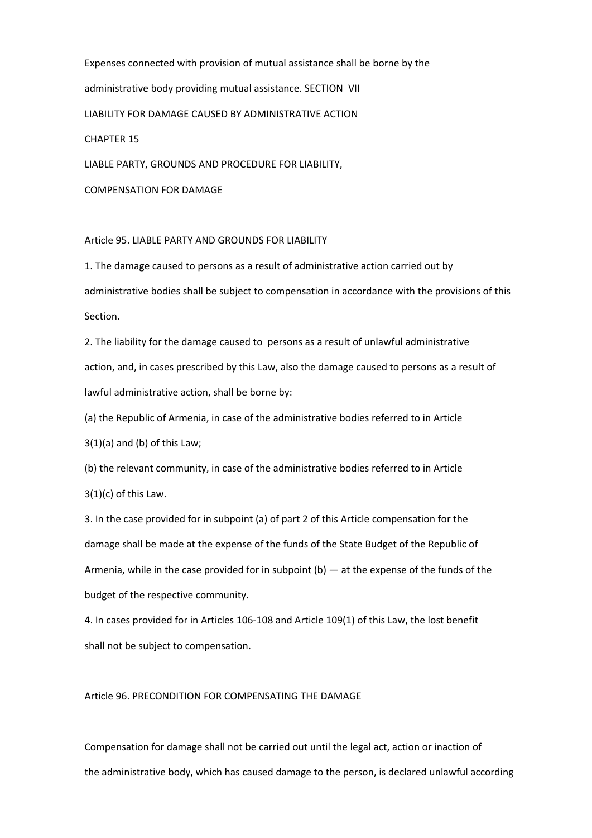Expenses connected with provision of mutual assistance shall be borne by the administrative body providing mutual assistance. SECTION VII LIABILITY FOR DAMAGE CAUSED BY ADMINISTRATIVE ACTION CHAPTER 15

LIABLE PARTY, GROUNDS AND PROCEDURE FOR LIABILITY,

COMPENSATION FOR DAMAGE

Article 95. LIABLE PARTY AND GROUNDS FOR LIABILITY

1. The damage caused to persons as a result of administrative action carried out by administrative bodies shall be subject to compensation in accordance with the provisions of this Section.

2. The liability for the damage caused to persons as a result of unlawful administrative action, and, in cases prescribed by this Law, also the damage caused to persons as a result of lawful administrative action, shall be borne by:

(a) the Republic of Armenia, in case of the administrative bodies referred to in Article

 $3(1)(a)$  and (b) of this Law;

(b) the relevant community, in case of the administrative bodies referred to in Article 3(1)(c) of this Law.

3. In the case provided for in subpoint (a) of part 2 of this Article compensation for the damage shall be made at the expense of the funds of the State Budget of the Republic of Armenia, while in the case provided for in subpoint  $(b)$  — at the expense of the funds of the budget of the respective community.

4. In cases provided for in Articles 106‐108 and Article 109(1) of this Law, the lost benefit shall not be subject to compensation.

Article 96. PRECONDITION FOR COMPENSATING THE DAMAGE

Compensation for damage shall not be carried out until the legal act, action or inaction of the administrative body, which has caused damage to the person, is declared unlawful according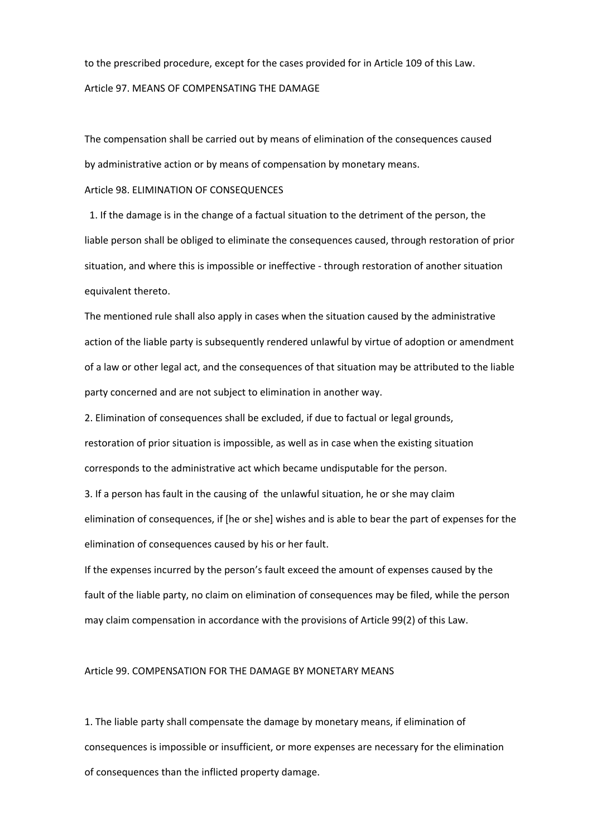to the prescribed procedure, except for the cases provided for in Article 109 of this Law. Article 97. MEANS OF COMPENSATING THE DAMAGE

The compensation shall be carried out by means of elimination of the consequences caused by administrative action or by means of compensation by monetary means.

#### Article 98. ELIMINATION OF CONSEQUENCES

 1. If the damage is in the change of a factual situation to the detriment of the person, the liable person shall be obliged to eliminate the consequences caused, through restoration of prior situation, and where this is impossible or ineffective ‐ through restoration of another situation equivalent thereto.

The mentioned rule shall also apply in cases when the situation caused by the administrative action of the liable party is subsequently rendered unlawful by virtue of adoption or amendment of a law or other legal act, and the consequences of that situation may be attributed to the liable party concerned and are not subject to elimination in another way.

2. Elimination of consequences shall be excluded, if due to factual or legal grounds, restoration of prior situation is impossible, as well as in case when the existing situation corresponds to the administrative act which became undisputable for the person.

3. If a person has fault in the causing of the unlawful situation, he or she may claim elimination of consequences, if [he or she] wishes and is able to bear the part of expenses for the elimination of consequences caused by his or her fault.

If the expenses incurred by the person's fault exceed the amount of expenses caused by the fault of the liable party, no claim on elimination of consequences may be filed, while the person may claim compensation in accordance with the provisions of Article 99(2) of this Law.

#### Article 99. COMPENSATION FOR THE DAMAGE BY MONETARY MEANS

1. The liable party shall compensate the damage by monetary means, if elimination of consequences is impossible or insufficient, or more expenses are necessary for the elimination of consequences than the inflicted property damage.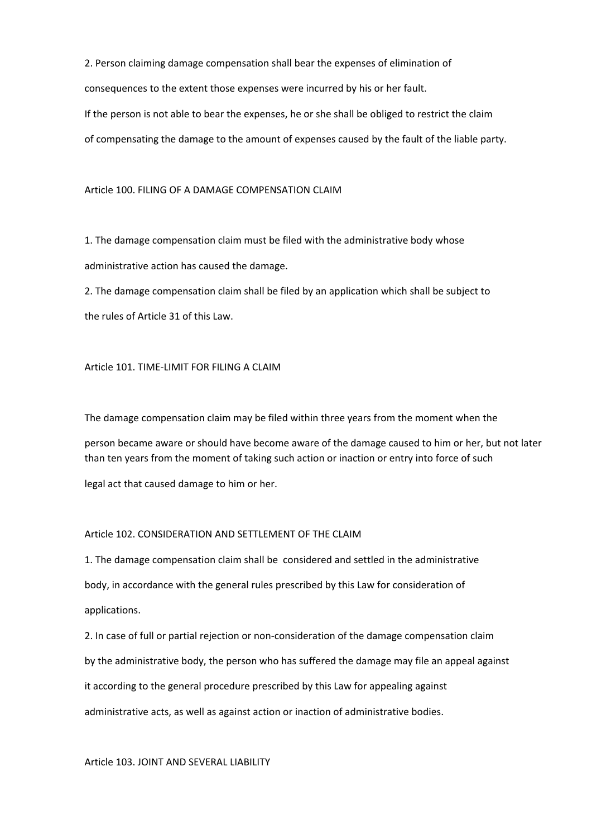2. Person claiming damage compensation shall bear the expenses of elimination of consequences to the extent those expenses were incurred by his or her fault.

If the person is not able to bear the expenses, he or she shall be obliged to restrict the claim

of compensating the damage to the amount of expenses caused by the fault of the liable party.

Article 100. FILING OF A DAMAGE COMPENSATION CLAIM

1. The damage compensation claim must be filed with the administrative body whose administrative action has caused the damage.

2. The damage compensation claim shall be filed by an application which shall be subject to the rules of Article 31 of this Law.

#### Article 101. TIME‐LIMIT FOR FILING A CLAIM

The damage compensation claim may be filed within three years from the moment when the

person became aware or should have become aware of the damage caused to him or her, but not later than ten years from the moment of taking such action or inaction or entry into force of such

legal act that caused damage to him or her.

#### Article 102. CONSIDERATION AND SETTLEMENT OF THE CLAIM

1. The damage compensation claim shall be considered and settled in the administrative body, in accordance with the general rules prescribed by this Law for consideration of applications.

2. In case of full or partial rejection or non‐consideration of the damage compensation claim by the administrative body, the person who has suffered the damage may file an appeal against it according to the general procedure prescribed by this Law for appealing against administrative acts, as well as against action or inaction of administrative bodies.

Article 103. JOINT AND SEVERAL LIABILITY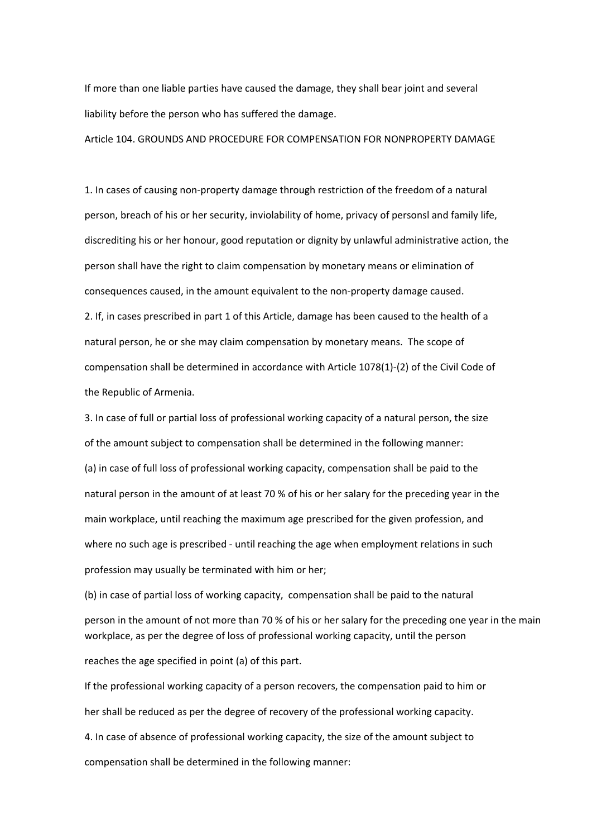If more than one liable parties have caused the damage, they shall bear joint and several liability before the person who has suffered the damage.

Article 104. GROUNDS AND PROCEDURE FOR COMPENSATION FOR NONPROPERTY DAMAGE

1. In cases of causing non‐property damage through restriction of the freedom of a natural person, breach of his or her security, inviolability of home, privacy of personsl and family life, discrediting his or her honour, good reputation or dignity by unlawful administrative action, the person shall have the right to claim compensation by monetary means or elimination of consequences caused, in the amount equivalent to the non‐property damage caused. 2. If, in cases prescribed in part 1 of this Article, damage has been caused to the health of a natural person, he or she may claim compensation by monetary means. The scope of compensation shall be determined in accordance with Article 1078(1)‐(2) of the Civil Code of the Republic of Armenia.

3. In case of full or partial loss of professional working capacity of a natural person, the size of the amount subject to compensation shall be determined in the following manner: (a) in case of full loss of professional working capacity, compensation shall be paid to the natural person in the amount of at least 70 % of his or her salary for the preceding year in the main workplace, until reaching the maximum age prescribed for the given profession, and where no such age is prescribed - until reaching the age when employment relations in such profession may usually be terminated with him or her;

(b) in case of partial loss of working capacity, compensation shall be paid to the natural person in the amount of not more than 70 % of his or her salary for the preceding one year in the main workplace, as per the degree of loss of professional working capacity, until the person

reaches the age specified in point (a) of this part.

If the professional working capacity of a person recovers, the compensation paid to him or her shall be reduced as per the degree of recovery of the professional working capacity. 4. In case of absence of professional working capacity, the size of the amount subject to compensation shall be determined in the following manner: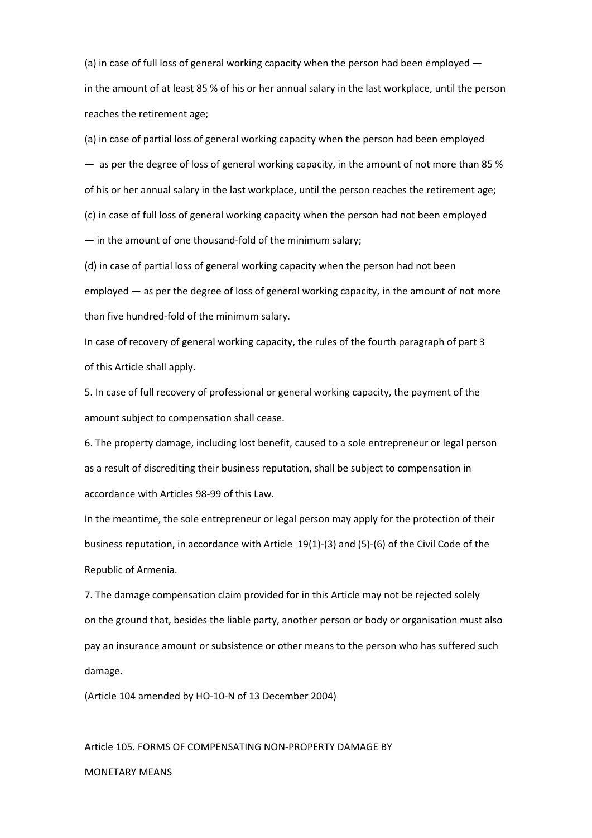(a) in case of full loss of general working capacity when the person had been employed in the amount of at least 85 % of his or her annual salary in the last workplace, until the person reaches the retirement age;

(a) in case of partial loss of general working capacity when the person had been employed  $-$  as per the degree of loss of general working capacity, in the amount of not more than 85 % of his or her annual salary in the last workplace, until the person reaches the retirement age; (c) in case of full loss of general working capacity when the person had not been employed — in the amount of one thousand‐fold of the minimum salary;

(d) in case of partial loss of general working capacity when the person had not been employed — as per the degree of loss of general working capacity, in the amount of not more than five hundred‐fold of the minimum salary.

In case of recovery of general working capacity, the rules of the fourth paragraph of part 3 of this Article shall apply.

5. In case of full recovery of professional or general working capacity, the payment of the amount subject to compensation shall cease.

6. The property damage, including lost benefit, caused to a sole entrepreneur or legal person as a result of discrediting their business reputation, shall be subject to compensation in accordance with Articles 98‐99 of this Law.

In the meantime, the sole entrepreneur or legal person may apply for the protection of their business reputation, in accordance with Article 19(1)‐(3) and (5)‐(6) of the Civil Code of the Republic of Armenia.

7. The damage compensation claim provided for in this Article may not be rejected solely on the ground that, besides the liable party, another person or body or organisation must also pay an insurance amount or subsistence or other means to the person who has suffered such damage.

(Article 104 amended by HO‐10‐N of 13 December 2004)

Article 105. FORMS OF COMPENSATING NON‐PROPERTY DAMAGE BY

MONETARY MEANS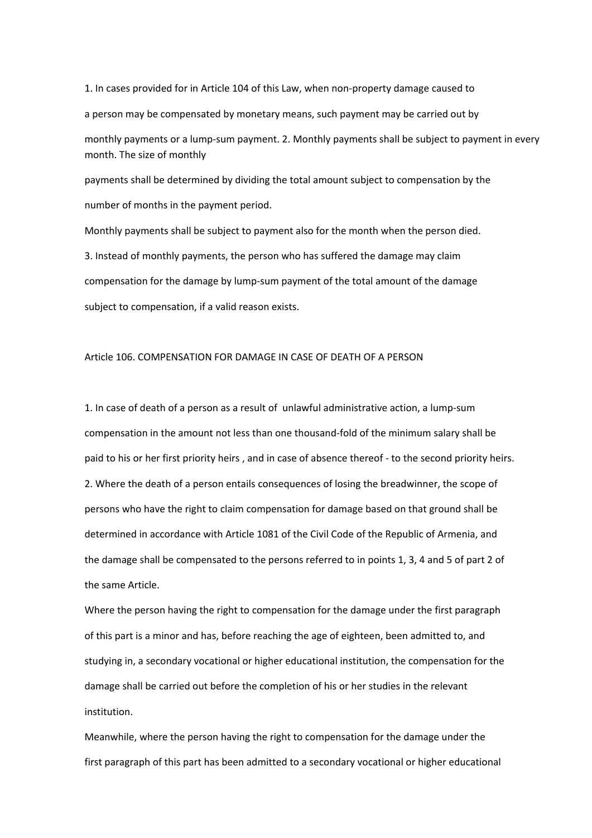1. In cases provided for in Article 104 of this Law, when non‐property damage caused to a person may be compensated by monetary means, such payment may be carried out by monthly payments or a lump‐sum payment. 2. Monthly payments shall be subject to payment in every month. The size of monthly

payments shall be determined by dividing the total amount subject to compensation by the number of months in the payment period.

Monthly payments shall be subject to payment also for the month when the person died. 3. Instead of monthly payments, the person who has suffered the damage may claim compensation for the damage by lump‐sum payment of the total amount of the damage subject to compensation, if a valid reason exists.

#### Article 106. COMPENSATION FOR DAMAGE IN CASE OF DEATH OF A PERSON

1. In case of death of a person as a result of unlawful administrative action, a lump‐sum compensation in the amount not less than one thousand‐fold of the minimum salary shall be paid to his or her first priority heirs , and in case of absence thereof ‐ to the second priority heirs. 2. Where the death of a person entails consequences of losing the breadwinner, the scope of persons who have the right to claim compensation for damage based on that ground shall be determined in accordance with Article 1081 of the Civil Code of the Republic of Armenia, and the damage shall be compensated to the persons referred to in points 1, 3, 4 and 5 of part 2 of the same Article.

Where the person having the right to compensation for the damage under the first paragraph of this part is a minor and has, before reaching the age of eighteen, been admitted to, and studying in, a secondary vocational or higher educational institution, the compensation for the damage shall be carried out before the completion of his or her studies in the relevant institution.

Meanwhile, where the person having the right to compensation for the damage under the first paragraph of this part has been admitted to a secondary vocational or higher educational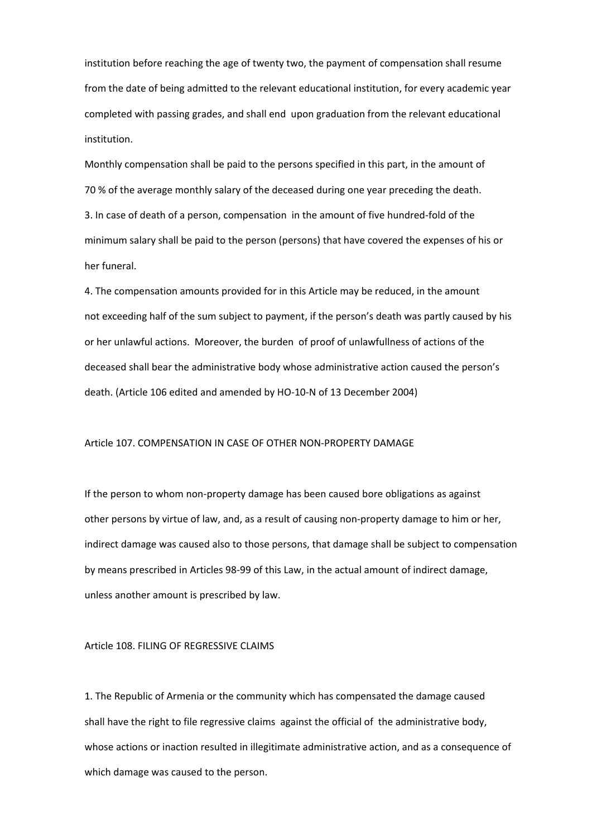institution before reaching the age of twenty two, the payment of compensation shall resume from the date of being admitted to the relevant educational institution, for every academic year completed with passing grades, and shall end upon graduation from the relevant educational institution.

Monthly compensation shall be paid to the persons specified in this part, in the amount of 70 % of the average monthly salary of the deceased during one year preceding the death. 3. In case of death of a person, compensation in the amount of five hundred‐fold of the minimum salary shall be paid to the person (persons) that have covered the expenses of his or her funeral.

4. The compensation amounts provided for in this Article may be reduced, in the amount not exceeding half of the sum subject to payment, if the person's death was partly caused by his or her unlawful actions. Moreover, the burden of proof of unlawfullness of actions of the deceased shall bear the administrative body whose administrative action caused the person's death. (Article 106 edited and amended by HO‐10‐N of 13 December 2004)

#### Article 107. COMPENSATION IN CASE OF OTHER NON‐PROPERTY DAMAGE

If the person to whom non‐property damage has been caused bore obligations as against other persons by virtue of law, and, as a result of causing non‐property damage to him or her, indirect damage was caused also to those persons, that damage shall be subject to compensation by means prescribed in Articles 98‐99 of this Law, in the actual amount of indirect damage, unless another amount is prescribed by law.

#### Article 108. FILING OF REGRESSIVE CLAIMS

1. The Republic of Armenia or the community which has compensated the damage caused shall have the right to file regressive claims against the official of the administrative body, whose actions or inaction resulted in illegitimate administrative action, and as a consequence of which damage was caused to the person.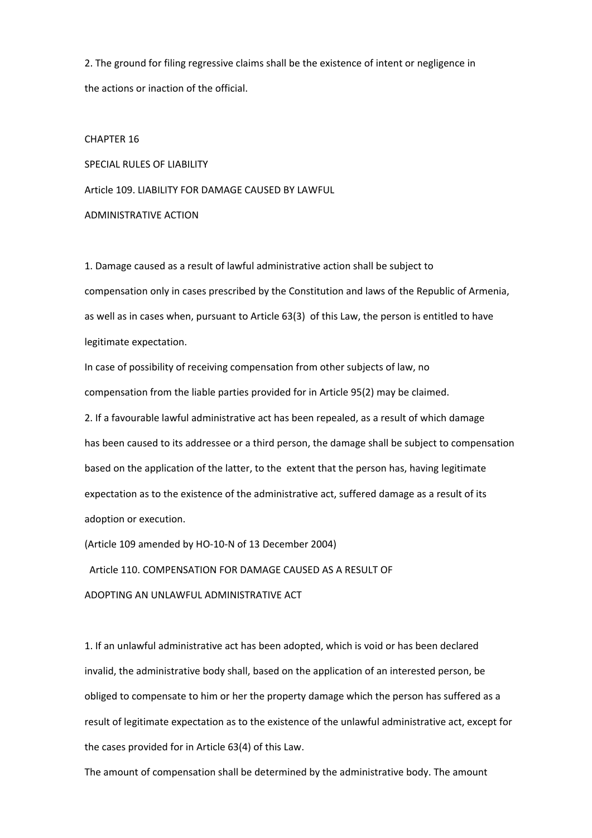2. The ground for filing regressive claims shall be the existence of intent or negligence in the actions or inaction of the official.

CHAPTER 16 SPECIAL RULES OF LIABILITY Article 109. LIABILITY FOR DAMAGE CAUSED BY LAWFUL ADMINISTRATIVE ACTION

1. Damage caused as a result of lawful administrative action shall be subject to compensation only in cases prescribed by the Constitution and laws of the Republic of Armenia, as well as in cases when, pursuant to Article 63(3) of this Law, the person is entitled to have legitimate expectation.

In case of possibility of receiving compensation from other subjects of law, no compensation from the liable parties provided for in Article 95(2) may be claimed.

2. If a favourable lawful administrative act has been repealed, as a result of which damage has been caused to its addressee or a third person, the damage shall be subject to compensation based on the application of the latter, to the extent that the person has, having legitimate expectation as to the existence of the administrative act, suffered damage as a result of its adoption or execution.

(Article 109 amended by HO‐10‐N of 13 December 2004)

Article 110. COMPENSATION FOR DAMAGE CAUSED AS A RESULT OF

ADOPTING AN UNLAWFUL ADMINISTRATIVE ACT

1. If an unlawful administrative act has been adopted, which is void or has been declared invalid, the administrative body shall, based on the application of an interested person, be obliged to compensate to him or her the property damage which the person has suffered as a result of legitimate expectation as to the existence of the unlawful administrative act, except for the cases provided for in Article 63(4) of this Law.

The amount of compensation shall be determined by the administrative body. The amount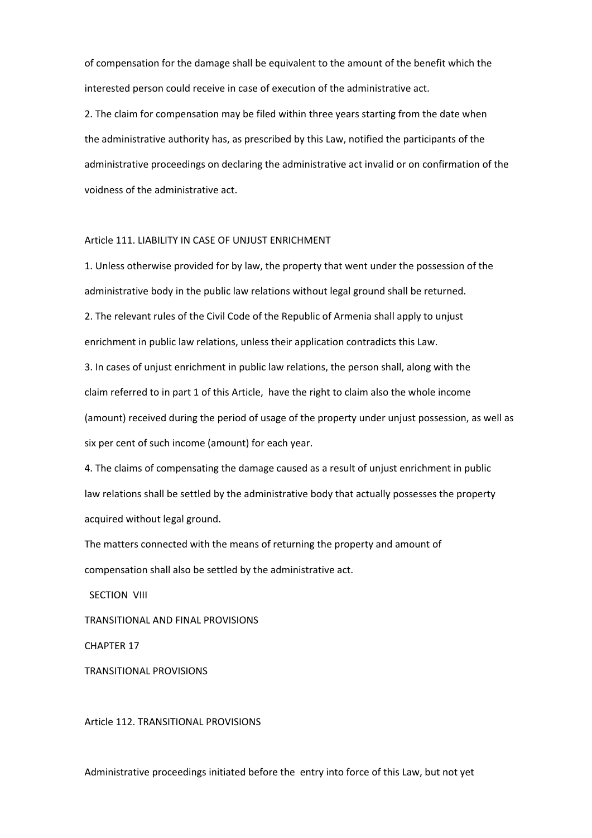of compensation for the damage shall be equivalent to the amount of the benefit which the interested person could receive in case of execution of the administrative act.

2. The claim for compensation may be filed within three years starting from the date when the administrative authority has, as prescribed by this Law, notified the participants of the administrative proceedings on declaring the administrative act invalid or on confirmation of the voidness of the administrative act.

#### Article 111. LIABILITY IN CASE OF UNJUST ENRICHMENT

1. Unless otherwise provided for by law, the property that went under the possession of the administrative body in the public law relations without legal ground shall be returned.

2. The relevant rules of the Civil Code of the Republic of Armenia shall apply to unjust enrichment in public law relations, unless their application contradicts this Law.

3. In cases of unjust enrichment in public law relations, the person shall, along with the claim referred to in part 1 of this Article, have the right to claim also the whole income (amount) received during the period of usage of the property under unjust possession, as well as six per cent of such income (amount) for each year.

4. The claims of compensating the damage caused as a result of unjust enrichment in public law relations shall be settled by the administrative body that actually possesses the property acquired without legal ground.

The matters connected with the means of returning the property and amount of compensation shall also be settled by the administrative act.

**SECTION VIII** 

TRANSITIONAL AND FINAL PROVISIONS

CHAPTER 17

TRANSITIONAL PROVISIONS

Article 112. TRANSITIONAL PROVISIONS

Administrative proceedings initiated before the entry into force of this Law, but not yet